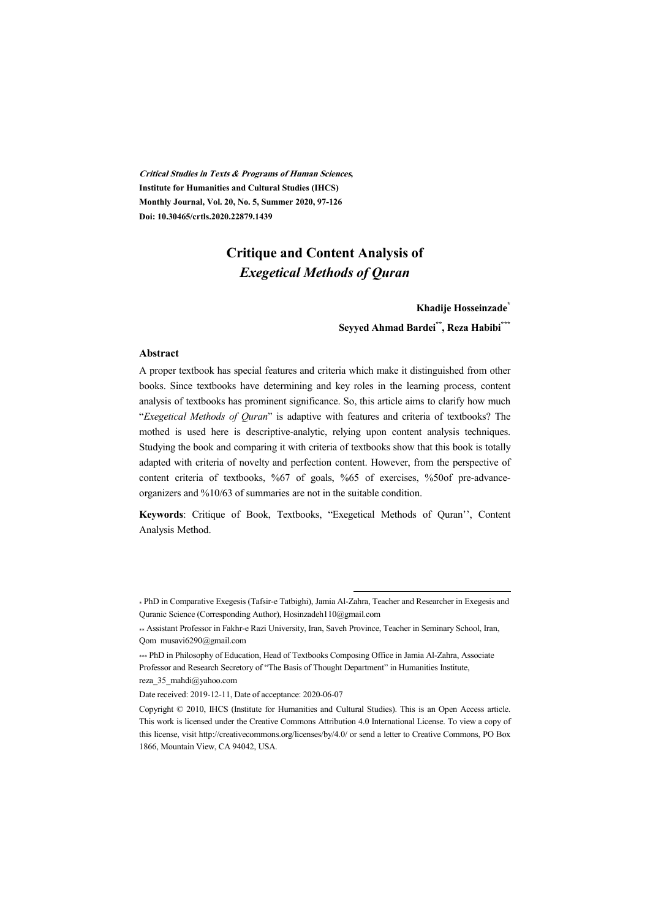**Critical Studies in Texts & Programs of Human Sciences, Institute for Humanities and Cultural Studies (IHCS) Monthly Journal, Vol. 20, No. 5, Summer 2020, 97-126 Doi: 10.30465/crtls.2020.22879.1439** 

### **Critique and Content Analysis of**  *Exegetical Methods of Quran*

#### **Khadije Hosseinzade\* Seyyed Ahmad Bardei\*\*, Reza Habibi\*\*\***

#### **Abstract**

A proper textbook has special features and criteria which make it distinguished from other books. Since textbooks have determining and key roles in the learning process, content analysis of textbooks has prominent significance. So, this article aims to clarify how much "*Exegetical Methods of Quran*" is adaptive with features and criteria of textbooks? The mothed is used here is descriptive-analytic, relying upon content analysis techniques. Studying the book and comparing it with criteria of textbooks show that this book is totally adapted with criteria of novelty and perfection content. However, from the perspective of content criteria of textbooks, %67 of goals, %65 of exercises, %50of pre-advanceorganizers and %10/63 of summaries are not in the suitable condition.

**Keywords**: Critique of Book, Textbooks, "Exegetical Methods of Quran'', Content Analysis Method.

.

<sup>\*</sup> PhD in Comparative Exegesis (Tafsir-e Tatbighi), Jamia Al-Zahra, Teacher and Researcher in Exegesis and Quranic Science (Corresponding Author), Hosinzadeh110@gmail.com

<sup>\*\*</sup> Assistant Professor in Fakhr-e Razi University, Iran, Saveh Province, Teacher in Seminary School, Iran, Qom musavi6290@gmail.com

<sup>\*\*\*</sup> PhD in Philosophy of Education, Head of Textbooks Composing Office in Jamia Al-Zahra, Associate Professor and Research Secretory of "The Basis of Thought Department" in Humanities Institute, reza\_35\_mahdi@yahoo.com

Date received: 2019-12-11, Date of acceptance: 2020-06-07

Copyright © 2010, IHCS (Institute for Humanities and Cultural Studies). This is an Open Access article. This work is licensed under the Creative Commons Attribution 4.0 International License. To view a copy of this license, visit http://creativecommons.org/licenses/by/4.0/ or send a letter to Creative Commons, PO Box 1866, Mountain View, CA 94042, USA.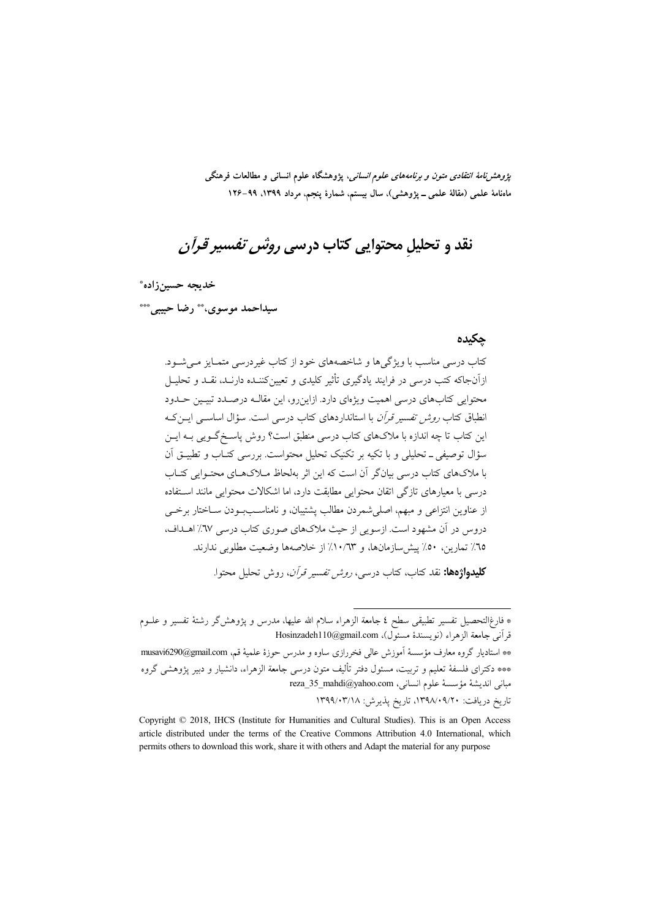*پژوهشنامهٔ انتقادی متون و برنامههای علوم انسانی*، پژوهشگاه علوم انسانی و مطالعات فرهنگی ماهنامهٔ علمی (مقالهٔ علمی ــ پژوهشی)، سال بیستم، شمارهٔ پنجم، مرداد ۱۳۹۹، ۹۹–۱۲۶

# نقد و تحلیل محتوایی کتاب درسی *روش تفسیر قرآن*

خديجه حسين زاده\*

سيداحمد موسوى، \*\* رضا حبيبي \*\*\*

#### جكيده

کتاب درسی مناسب با ویژگیها و شاخصههای خود از کتاب غیردرسی متمـایز مـیشـود. ازآنجاکه کتب درسی در فرایند یادگیری تأثیر کلیدی و تعیینکننـده دارنـد، نقـد و تحلیــل محتوایی کتابهای درسی اهمیت ویژهای دارد. ازاین رو، این مقالـه درصـدد تبیـین حـدود انطباق کتاب *روش تفسیر قرآن* با استانداردهای کتاب درسی است. سؤال اساسبی ایس کـه این کتاب تا چه اندازه با ملاکهای کتاب درسی منطبق است؟ روش پاسـخگــویی بــه ایــن سؤال توصیفی ـ تحلیلی و با تکیه بر تکنیک تحلیل محتواست. بررسی کتـاب و تطبیــق آن با ملاکهای کتاب درسی بیانگر آن است که این اثر بهلحاظ مـلاکهـای محتـوایی کتـاب درسی با معیارهای تازگی اتقان محتوایی مطابقت دارد، اما اشکالات محتوایی مانند استفاده از عناوين انتزاعي و مبهم، اصلي شمردن مطالب پشتيبان، و نامناسـبودن سـاختار برخـي دروس در آن مشهود است. ازسویی از حیث ملاکهای صوری کتاب درسی ٦٧٪ اهــداف، ٦٥٪ تمارین، ٥٠٪ پیش سازمانها، و ١٠/٦٣٪ از خلاصهها وضعت مطلوبی ندارند.

**کلیدواژهها:** نقد کتاب، کتاب درسه *، روش تفسیر قرآن*، روش تحلیل محتوا.

<sup>\*</sup> فارغ|لتحصيل تفسير تطبيقى سطح ٤ جامعة الزهراء سلام الله عليها، مدرس و پژوهشگر رشتهٔ تفسير و علــوم قرآني جامعة الزهراء (نويسندهٔ مسئول)، Hosinzadeh110@gmail.com

<sup>\*\*</sup> استادیار گروه معارف مؤسسهٔ آموزش عالی فخررازی ساوه و مدرس حوزهٔ علمیهٔ قم، musavi6290@gmail.com \*\*\* دکترای فلسفهٔ تعلیم و تربیت، مسئول دفتر تألیف متون درسی جامعة الزهراء، دانشیار و دبیر پژوهشی گروه reza\_35\_mahdi@yahoo.com (أنسانى: reza\_35\_mahdi@yahoo.com تاريخ دريافت: ۰۹/۰۹/۰۹/۲۰ تاريخ پذيرش: ۱۳۹۹/۰۳/۱۸

Copyright © 2018, IHCS (Institute for Humanities and Cultural Studies). This is an Open Access article distributed under the terms of the Creative Commons Attribution 4.0 International, which permits others to download this work, share it with others and Adapt the material for any purpose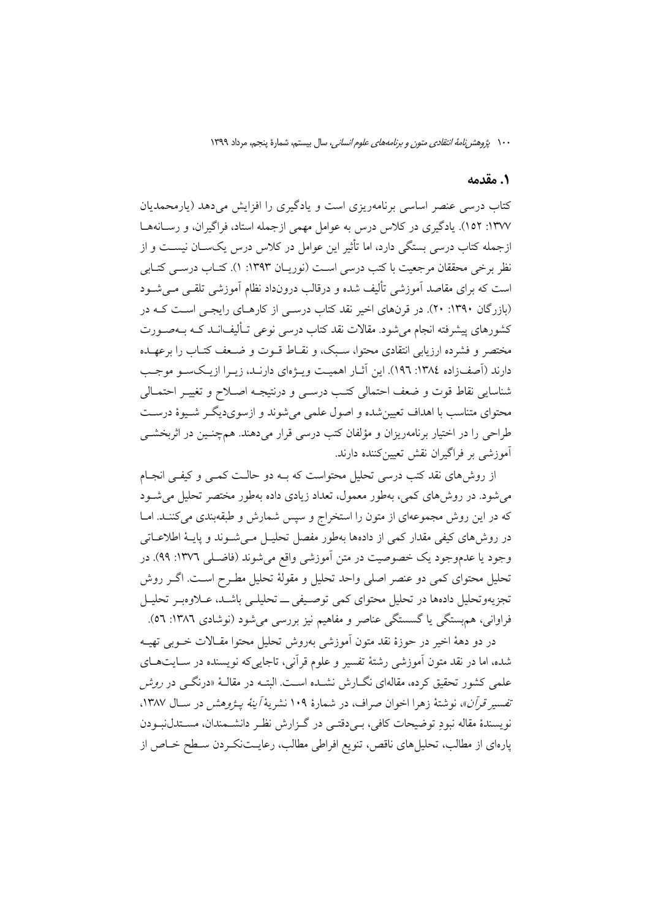#### 1. مقدمه

کتاب درسی عنصر اساسی برنامهریزی است و یادگیری را افزایش میدهد (یارمحمدیان ۱۳۷۷: ۱۵۲). یادگیری در کلاس درس به عوامل مهمی ازجمله استاد، فراگیران، و رسانهها ازجمله کتاب درسی بستگی دارد، اما تأثیر این عوامل در کلاس درس یکســان نیســت و از نظر برخی محققان مرجعیت با کتب درسی است (نوریـان ۱۳۹۳: ۱). کتـاب درســی کتـابی است که برای مقاصد آموزشی تألیف شده و درقالب درونداد نظام آموزشی تلقـی مـیشـود (بازرگان ۱۳۹۰: ۲۰). در قرنهای اخیر نقد کتاب درسـی از کارهـای رایجـی اسـت کـه در کشورهای پیشرفته انجام می شود. مقالات نقد کتاب درسی نوعی تـألیف|نــد کــه بــهصــورت مختصر و فشرده ارزیابی انتقادی محتوا، سـبک، و نقـاط قــوت و ضــعف کتــاب را برعهــده دارند (آصفزاده ١٣٨٤: ١٩٦). اين آثـار اهميـت ويـژهاي دارنـد، زيـرا ازيـكسـو موجـب شناسايي نقاط قوت و ضعف احتمالي كتب درسـي و درنتيجـه اصـلاح و تغييـر احتمـالي محتواي متناسب با اهداف تعيين شده و اصول علمي مي شوند و ازسوي ديگـر شـيوهٔ درسـت طراحي را در اختيار برنامهريزان و مؤلفان كتب درسي قرار مي دهند. همچنـين در اثربخشــي آموزشي بر فراگيران نقش تعيين كننده دارند.

از روش۵های نقد کتب درسی تحلیل محتواست که بـه دو حالـت کمـی و کیفـی انجـام می شود. در روش های کمی، بهطور معمول، تعداد زیادی داده بهطور مختصر تحلیل می شـود که در این روش مجموعهای از متون را استخراج و سپس شمارش و طبقهبندی میکنند. امـا در روش های کیفی مقدار کمی از دادهها بهطور مفصل تحلیـل مـی شــوند و پایــهٔ اطلاعــاتی وجود یا عدموجود یک خصوصیت در متن آموزشی واقع می شوند (فاضـلی ١٣٧٦: ٩٩). در تحلیل محتوای کمی دو عنصر اصلی واحد تحلیل و مقولهٔ تحلیل مطـرح اسـت. اگـر روش تجزیهوتحلیل دادهها در تحلیل محتوای کمی توصیفی ــ تحلیلـی باشـد، عـلاوهبـر تحلیـل فراوانی، هم بستگی یا گسستگی عناصر و مفاهیم نیز بررسی می شود (نوشادی ۱۳۸۲: ٥٦).

در دو دههٔ اخیر در حوزهٔ نقد متون اَموزشی بهروش تحلیل محتوا مقـالات خــوبی تهیــه شده، اما در نقد متون آموزشی رشتهٔ تفسیر و علوم قرآنی، تاجایی که نویسنده در سـایتهـای علمی کشور تحقیق کرده، مقالهای نگــارش نشــده اســت. البتــه در مقالــهٔ «درنگــی در *روش*ر تفسير قرآن»، نوشتهٔ زهرا اخوان صراف، در شمارهٔ ۱۰۹ نشریهٔ *آینهٔ پـژوهش د*ر سـال ۱۳۸۷، نویسندهٔ مقاله نبودِ توضیحات کافی، بـیدقتـی در گـزارش نظـر دانشـمندان، مســتدلiبـودن یارهای از مطالب، تحلیل های ناقص، تنویع افراطی مطالب، رعایــتنکــردن ســطح خــاص از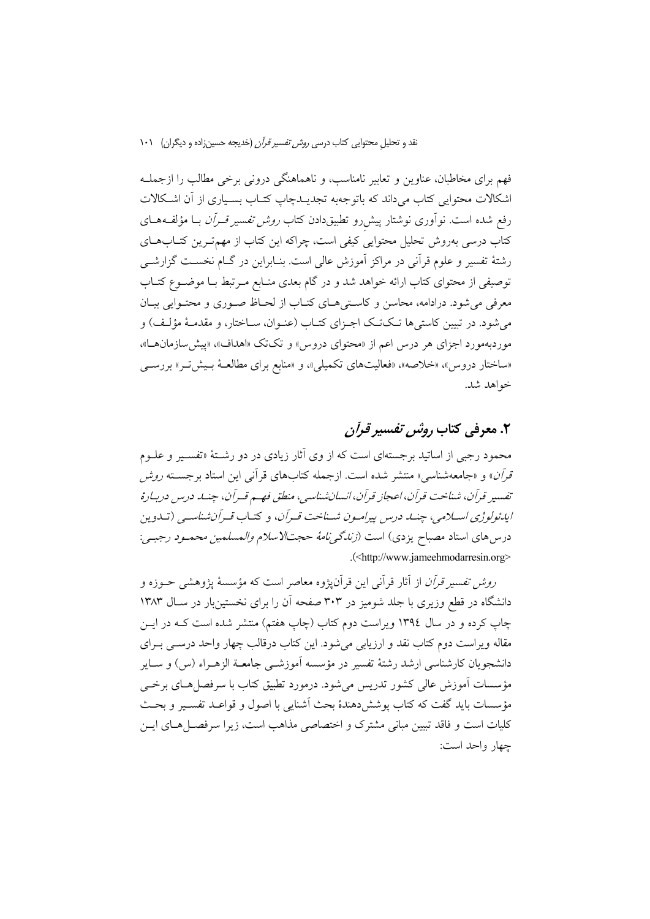فهم براي مخاطبان، عناوين و تعابير نامناسب، و ناهماهنگي دروني برخي مطالب را ازجملـه اشکالات محتوایی کتاب میداند که باتوجهبه تجدیــدچاپ کتــاب بســیاری از آن اشــکالات رفع شده است. نوآوری نوشتار پیش رو تطبیقدادن کتاب *روش تفسیر قـرآن* بــا مؤلفــههــای کتاب درسی بهروش تحلیل محتوایی کیفی است، چراکه این کتاب از مهمترین کتـابهـای رشتهٔ تفسیر و علوم قرآنی در مراکز آموزش عالی است. بنـابراین در گــام نخسـت گزارشــی توصیفی از محتوای کتاب ارائه خواهد شد و در گام بعدی منـابع مـر تبط بــا موضــوع کتــاب معرفی میشود. درادامه، محاسن و کاستی های کتـاب از لحـاظ صـوری و محتـوایی بیـان می شود. در تبیین کاستی ها تـکتـک اجـزای کتـاب (عنـوان، سـاختار، و مقدمـهٔ مؤلـف) و موردبهمورد اجزای هر درس اعم از «محتوای دروس» و تکتک «اهداف»، «پیش سازمان ا»، «ساختار دروس»، «خلاصه»، «فعالیتهای تکمیلی»، و «منابع برای مطالعـهٔ بـیشِّ تـر» بررســی خواهد شد.

## ۲. معرفی کتاب رو*ش تفسیر قرأن*

محمود رجبی از اساتید برجستهای است که از وی آثار زیادی در دو رشــتهٔ «تفســیر و علــوم قرآن» و «جامعهشناسی» منتشر شده است. ازجمله کتابهای قرآنی این استاد برجسته *روش* تفسيد قرأن، شناخت قرأن، اعجاز قرأن، انسان شناسي، منطق فهم قبرأن، چنبه درس درببارهُ ایدئولوژی اسلامی، چنــا درس پیرامـون شــناخت قــرآن، و كتـاب قــرآن شناســی (تــادین درس های استاد مصباح یزدی) است *(زندگیiمهٔ حجتالاسلام والمسلمین محمـود رجبـی*: .(<http://www.jameehmodarresin.org>

رو*ش تفسیر قرآن* از آثار قرآنی این قرآنیژوه معاصر است که مؤسسهٔ یژوهشی حــوزه و دانشگاه در قطع وزیری با جلد شومیز در ۳۰۳ صفحه آن را برای نخستینبار در سـال ۱۳۸۳ چاپ کرده و در سال ۱۳۹٤ ویراست دوم کتاب (چاپ هفتم) منتشر شده است کـه در ایــن مقاله ویراست دوم کتاب نقد و ارزیابی می شود. این کتاب درقالب چهار واحد درســی بــرای دانشجويان كارشناسي ارشد رشتهٔ تفسير در مؤسسه آموزشــي جامعــة الزهــراء (س) و ســاير مؤسسات آموزش عالی کشور تدریس می شود. درمورد تطبیق کتاب با سرفصل هـای برخــی مؤسسات بايد گفت كه كتاب يوشش دهندهٔ بحث آشنايي با اصول و قواعـد تفسـير و بحـث کلیات است و فاقد تبیین مبانی مشترک و اختصاصی مذاهب است، زیرا سرفصـــا هــای ایـــن چهار واحد است: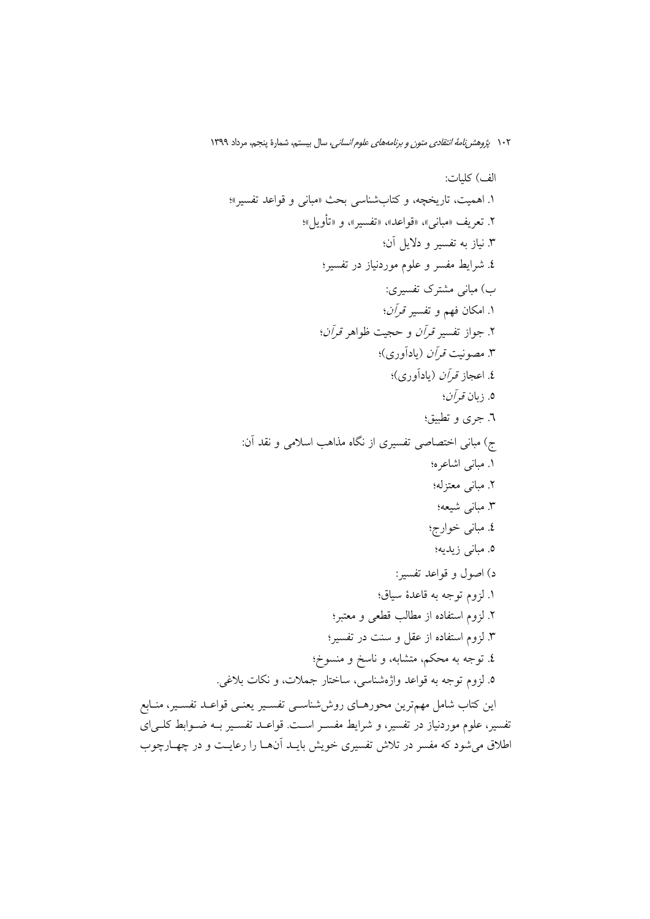ير، منـابع تفسیر، علوم موردنیاز در تفسیر، و شرایط مفســر اســت. قواعــد تفســیر بــه ضــوابط کلــی|ی اطلاق میشود که مفسر در تلاش تفسیری خویش بایـد آنهـا را رعایـت و در چهـارچوب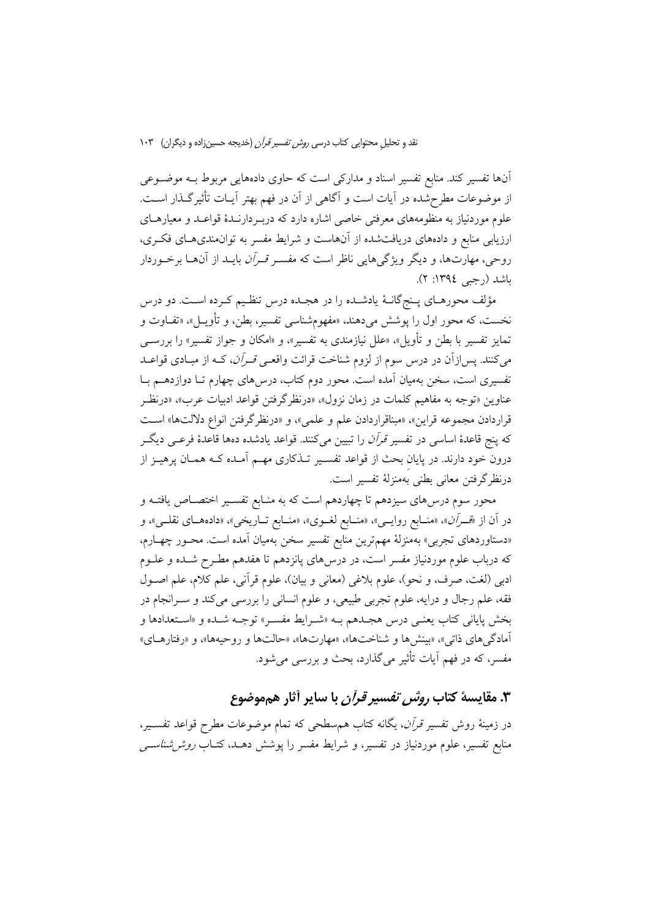آنها تفسیر کند. منابع تفسیر اسناد و مدارکی است که حاوی دادههایی مربوط بـه موضــوعی از موضوعات مطرحشده در آيات است و آگاهي از آن در فهم بهتر آيـات تأثيرگـذار اسـت. علوم موردنیاز به منظومههای معرفتی خاصی اشاره دارد که دربـردارنـدهٔ قواعـد و معیارهـای ارزیابی منابع و دادههای دریافتشده از آنهاست و شرایط مفسر به توانمندیهـای فکـری، روحی، مهارتها، و دیگر ویژگیهایی ناظر است که مفسـر *قـرأن* بایــد از آنهــا برخـوردار باشد (رجبي ١٣٩٤: ٢).

مؤلف محورهـاي پـنجگانــهٔ يادشــده را در هجـده درس تنظـيم كـرده اســت. دو درس نخست، که محور اول را يوشش مي<هند، «مفهومشناسي تفسير، بطن، و تأويـــل»، «تفــاوت و تمایز تفسیر با بطن و تأویل»، «علل نیازمندی به تفسیر»، و «امکان و جواز تفسیر» را بررســـی میکنند. پس|زآن در درس سوم از لزوم شناخت قرائت واقع*ـی قـرآن*، کــه از مبـادی قواعــد تفسیری است، سخن بهمیان آمده است. محور دوم کتاب، درس۵ای چهارم تـا دوازدهــم بـا عناوين «توجه به مفاهيم كلمات در زمان نزول»، «درنظر گرفتن قواعد ادبيات عرب»، «درنظـر قراردادن مجموعه قراين»، «مبناقراردادن علم و علمي»، و «درنظرگرفتن انواع دلالتها» است که پنج قاعدهٔ اساسی در تفسیر *قرآن* را تبیین میکنند. قواعد یادشده دهها قاعدهٔ فرعـی دیگـر درون خود دارند. در پایان بحث از قواعد تفسـیر تــذکاری مهــم اَمــده کــه همــان پرهیــز از درنظرگرفتن معاني بطني بهمنزلهٔ تفسير است.

محور سوم درس۵های سیزدهم تا چهاردهم است که به منـابع تفسـیر اختصــاص یافتــه و در آن از «قــــرَّان»، «منـــابع روايـــي»، «منـــابع لغـــوي»، «منــابع تـــاريخي»، «دادههــاي نقلـــي»، و «دستاوردهای تجربی» بهمنزلهٔ مهمترین منابع تفسیر سخن بهمیان آمده است. محـور چهـارم، که درباب علوم موردنیاز مفسر است، در درس۵ای پانزدهم تا هفدهم مطـرح شـده و علــوم ادبي (لغت، صرف، و نحو)، علوم بلاغي (معاني و بيان)، علوم قرآني، علم كلام، علم اصـول فقه، علم رجال و درايه، علوم تجربي طبيعي، و علوم انساني را بررسي ميكند و سـرانجام در بخش پایانی کتاب یعنـی درس هجـدهم بـه «شـرایط مفسـر» توجـه شـده و «اسـتعدادها و آمادگی های ذاتی»، «بینش ها و شناختها»، «مهارتها»، «حالتها و روحیهها»، و «رفتارهـای» مفسر، که در فهم اَیات تأثیر میگذارد، بحث و بررسی میشود.

۳. مقايسهٔ كتاب *روش تفسير قرآن* با ساير آثار هم موضوع در زمینهٔ روش تفسیر *قرأن*، یگانه کتاب همسطحی که تمام موضوعات مطرح قواعد تفسـیر، منابع تفسیر، علوم موردنیاز در تفسیر، و شرایط مفسر را پوشش دهــد، کتــاب *روش(شناســی*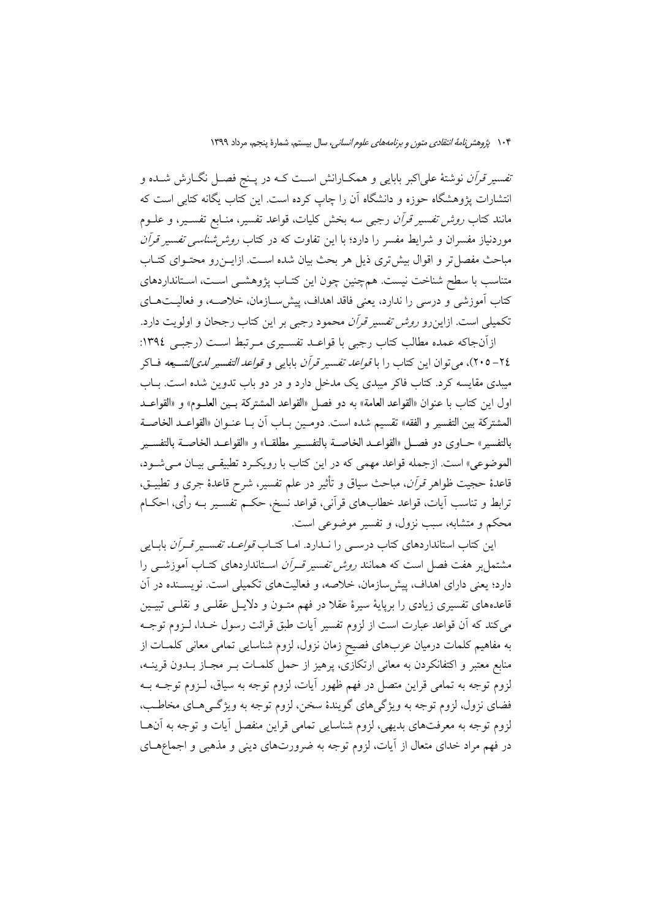*تفسیر قرآن* نوشتهٔ علیاکبر بابایی و همکـارانش اسـت کـه در پـنج فصـل نگــارش شــده و انتشارات پژوهشگاه حوزه و دانشگاه آن را چاپ کرده است. این کتاب یگانه کتابی است که مانند کتاب *روش تفسیر قرآن* رجبی سه بخش کلیات، قواعد تفسیر، منـابع تفســیر، و علــوم موردنیاز مفسران و شرایط مفسر را دارد؛ با این تفاوت که در کتاب *روش شناسی تفسیر قرآن* مباحث مفصل تر و اقوال بیش تری ذیل هر بحث بیان شده اسـت. ازایــن(و محتــوای کتــاب متناسب با سطح شناخت نیست. همچنین چون این کتـاب پژوهشـی اسـت، اسـتانداردهای كتاب آموزشي و درسي را ندارد، يعني فاقد اهداف، پيش سـازمان، خلاصـــه، و فعاليــتهــاي تکمیلی است. ازاین رو *روش تفسیر قرآن* محمود رجبی بر این کتاب رجحان و اولویت دارد.

ازآنجاكه عمده مطالب كتاب رجبي با قواعـد تفسـيري مـرتبط اسـت (رجبـي ١٣٩٤: ٢٤–٢٠٥)، مي توان اين كتاب را با *قواعد تفسير قرآن* بابايي و *قواعد التفسير لدىالشــبعه* فــاكر میبدی مقایسه کرد. کتاب فاکر میبدی یک مدخل دارد و در دو باب تدوین شده است. بــاب اول اين كتاب با عنوان «القواعد العامة» به دو فصل «القواعد المشتركة بـين العلــوم» و «القواعــد المشتركة بين التفسير و الفقه» تقسيم شده است. دومـين بـاب أن بـا عنـوان «القواعـد الخاصـة بالتفسير» حــاوي دو فصــل «القواعــد الخاصــة بالتفســير مطلقــا» و «القواعــد الخاصــة بالتفســير الموضوعي» است. ازجمله قواعد مهمي كه در اين كتاب با رويكرد تطبيقي بيـان مـي شـود، قاعدهٔ حجیت ظواهر *قرآن*، مباحث سیاق و تأثیر در علم تفسیر، شرح قاعدهٔ جری و تطبیــق، ترابط و تناسب آيات، قواعد خطابهاى قرآنى، قواعد نسخ، حكـم تفسـير بــه رأى، احكــام محکم و متشابه، سبب نزول، و تفسیر موضوعی است.

این کتاب استانداردهای کتاب درسـی را نــدارد. امــا کتــاب *قواعــد تفســیر قــرآن* بابــایی مشتمل بر هفت فصل است که همانند *روش تفسیر قــران* اسـتانداردهای کتــاب آموزشــی را دارد؛ یعنی دارای اهداف، پیش سازمان، خلاصه، و فعالیتهای تکمیلی است. نویســنده در آن قاعدههای تفسیری زیادی را برپایهٔ سیرهٔ عقلا در فهم متـون و دلایــل عقلــی و نقلــی تبیــین می کند که آن قواعد عبارت است از لزوم تفسیر آیات طبق قرائت رسول خـدا، لــزوم توجــه به مفاهیم کلمات درمیان عربهای فصیح زمان نزول، لزوم شناسایی تمامی معانی کلمـات از منابع معتبر و اکتفانکردن به معانی ارتکازی، پرهیز از حمل کلمـات بــر مجــاز بــدون قرینــه، لزوم توجه به تمامی قراین متصل در فهم ظهور آیات، لزوم توجه به سیاق، لـزوم توجــه بــه فضاي نزول، لزوم توجه به ويژگي هاي گويندۀ سخن، لزوم توجه به ويژگـي هـاي مخاطـب، لزوم توجه به معرفتهاي بديهي، لزوم شناسايي تمامي قراين منفصل أيات و توجه به آنهـا در فهم مراد خدای متعال از آیات، لزوم توجه به ضرورتهای دینی و مذهبی و اجماعهــای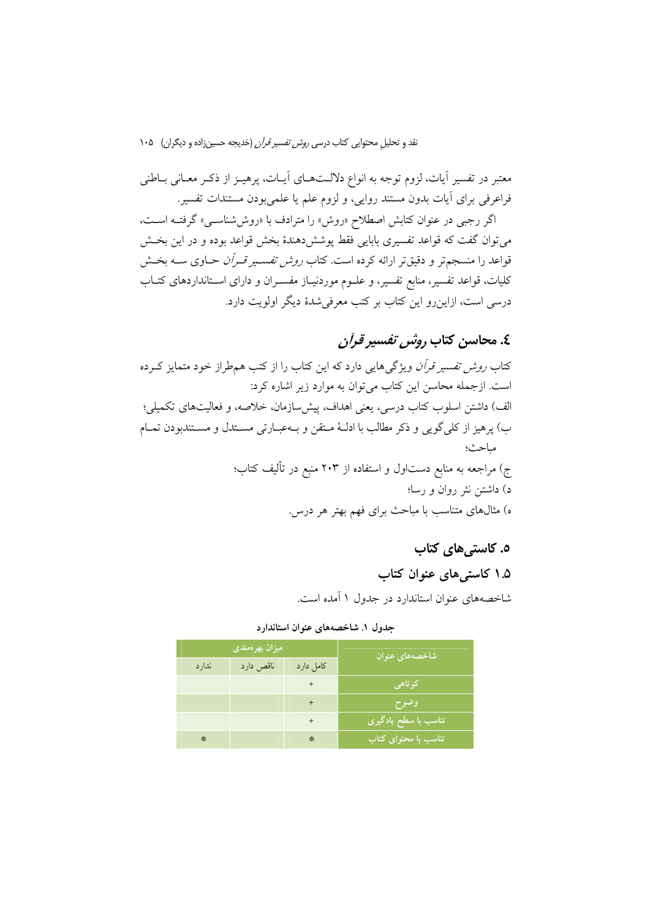معتبر در تفسیر آیات، لزوم توجه به انواع دلالـتهـای آیــات، پرهیــز از ذکــر معــانی بــاطنی فراعرفی برای آیات بدون مستند روایی، و لزوم علم یا علمی بودن مستندات تفسیر.

اگر رجبی در عنوان کتابش اصطلاح «روش» را مترادف با «روششاسی» گرفتـه اسـت، می توان گفت که قواعد تفسیری بابایی فقط پوشش دهندهٔ بخش قواعد بوده و در این بخــش قواعد را منسجمتر و دقیقتر ارائه کرده است. کتاب *روش تفسیر قـرآن ح*ـاوی ســه بخـش کلیات، قواعد تفسیر، منابع تفسیر، و علــوم موردنیــاز مفســران و دارای اســتانداردهای کتــاب درسی است، ازاین٫رو این کتاب بر کتب معرفی٬شدهٔ دیگر اولویت دارد.

## ٤. محاسن كتاب رو*ش تفسير قرآن*

کتاب *روش تفسیر قرآن* ویژگیهایی دارد که این کتاب را از کتب همطراز خود متمایز کـرده است. ازجمله محاسن این کتاب می توان به موارد زیر اشاره کرد: الف) داشتن اسلوب كتاب درسي، يعني اهداف، پيش سازمان، خلاصه، و فعاليتهاي تكميلي؛ ب) يرهيز از كلِّي گويي و ذكر مطالب با ادلـهٔ مـتقن و بـهعبـارتي مســتدل و مســتندبودن تمــام مباحث؛ ج) مراجعه به منابع دستاول و استفاده از ۲۰۳ منبع در تألیف کتاب؛ د) داشتن نثر روان و رسا؛ ه) مثالهای متناسب با مباحث برای فهم بهتر هر درس.

٥. کاستی های کتاب

### ۰.۵ کاستی های عنوان کتاب

شاخصههای عنوان استاندارد در جدول ۱ آمده است.

|       | میزان بهرهمندی | شاخصههای عنوان |                                     |  |
|-------|----------------|----------------|-------------------------------------|--|
| ندارد | ناقص دارد      | كامل دارد      |                                     |  |
|       |                | $\ddot{}$      | کوتاهی                              |  |
|       |                | $+$            | وضوح                                |  |
|       |                | $\ddot{}$      | تناسب با سطح یادگیری <sup>ا</sup>   |  |
| 紫     |                | 紫              | تناسب با محتوای کتاب <mark>ا</mark> |  |

جدول ١. شاخصههای عنوان استاندار د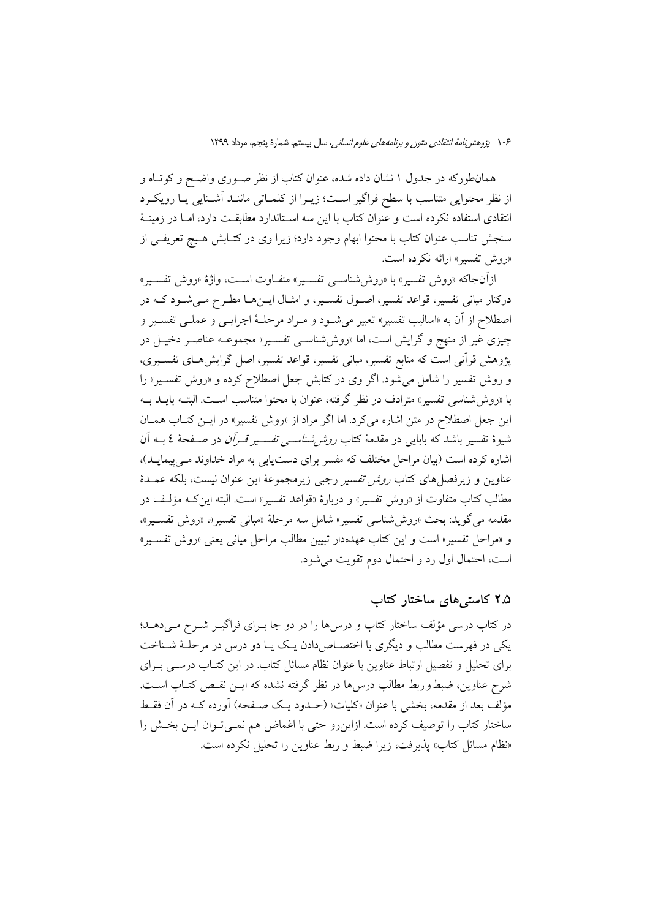همانطورکه در جدول ۱ نشان داده شده، عنوان کتاب از نظر صـوری واضـح و کوتـاه و از نظر محتوایی متناسب با سطح فراگیر اسـت؛ زیــرا از کلمــاتی ماننــد آشــنایی یــا رویکــرد انتقادی استفاده نکرده است و عنوان کتاب با این سه اسـتاندارد مطابقـت دارد، امـا در زمینـهٔ سنجش تناسب عنوان كتاب با محتوا ابهام وجود دارد؛ زيرا وى در كتـابش هـيچ تعريفـى از «روش تفسير» ارائه نكرده است.

ازأنجاكه «روش تفسير» با «روش شناسـي تفسـير» متفـاوت اسـت، واژهٔ «روش تفسـير» درکنار مبانی تفسیر، قواعد تفسیر، اصـول تفسـیر، و امثـال ایــنهــا مطـرح مـیشـود کــه در اصطلاح از آن به «اسالیب تفسیر» تعبیر می شـود و مـراد مرحلـهٔ اجرایـی و عملـی تفسـیر و چیزی غیر از منهج و گرایش است، اما «روش«شناسهی تفسیر» مجموعــه عناصـر دخیــل در پژوهش قرآنی است که منابع تفسیر، مبانی تفسیر، قواعد تفسیر، اصل گرایش۵حای تفسـیری، و روش تفسیر را شامل می شود. اگر وی در کتابش جعل اصطلاح کرده و «روش تفسیر» را با «روش شناسی تفسیر» مترادف در نظر گرفته، عنوان با محتوا متناسب اسـت. البتــه بایــد بــه این جعل اصطلاح در متن اشاره می کرد. اما اگر مراد از «روش تفسیر» در ایــن کتــاب همــان شیوهٔ تفسیر باشد که بابایی در مقدمهٔ کتاب *روش شناس<sub>حی</sub> تفس*ـیر *قــران د*ر صـفحهٔ ٤ بــه اَن اشاره کرده است (بیان مراحل مختلف که مفسر برای دست یابی به مراد خداوند مـی پیمایـد)، عناوین و زیرفصل۵ای کتاب *روش تفسیر رجبی زیرمجموعهٔ این عنوان نیست*، بلکه عمــدهٔ مطالب كتاب متفاوت از «روش تفسير» و دربارهٔ «قواعد تفسير» است. البته اين كــه مؤلَّـف در مقدمه می گوید: بحث «روششناسی تفسیر» شامل سه مرحلهٔ «مبانی تفسیر»، «روش تفسـیر»، و «مراحل تفسیر» است و این کتاب عهدهدار تبیین مطالب مراحل میانی یعنی «روش تفسـیر» است، احتمال اول رد و احتمال دوم تقويت مي شود.

#### ۲.۵ کاستی های ساختار کتاب

در کتاب درسی مؤلف ساختار کتاب و درسها را در دو جا بـرای فراگیــر شــرح مــیدهــد؛ یکی در فهرست مطالب و دیگری با اختصـاص(دادن یـک یـا دو درس در مرحلـهٔ شـناخت برای تحلیل و تفصیل ارتباط عناوین با عنوان نظام مسائل کتاب. در این کتـاب درسـی بـرای شرح عناوین، ضبط وربط مطالب درس۵ما در نظر گرفته نشده که ایــن نقـص کتــاب اســت. مؤلف بعد از مقدمه، بخشی با عنوان «کلیات» (حــدود یــک صــفحه) آورده کــه در آن فقــط ساختار کتاب را توصیف کرده است. ازاینرو حتی با اغماض هم نمـیتوان ایـن بخـش را «نظام مسائل كتاب» يذيرفت، زيرا ضبط و ربط عناوين را تحليل نكرده است.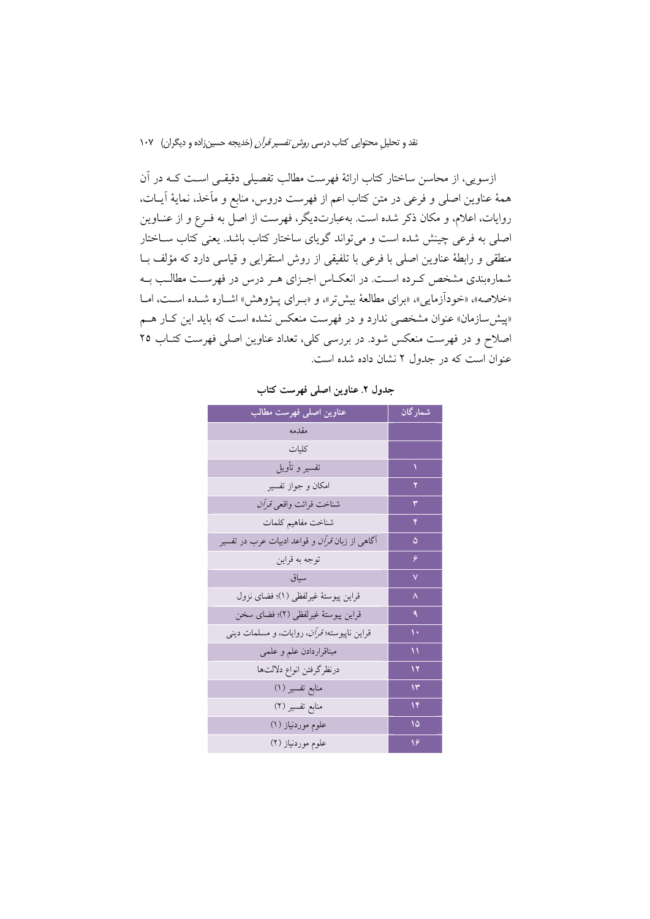ازسویی، از محاسن ساختار کتاب ارائهٔ فهرست مطالب تفصیلی دقیقـی اسـت کــه در آن همهٔ عناوین اصلی و فرعی در متن کتاب اعم از فهرست دروس، منابع و مآخذ، نمایهٔ آیــات، روایات، اعلام، و مکان ذکر شده است. بهعبارتدیگر، فهرست از اصل به فـرع و از عنــاوین اصلی به فرعی چینش شده است و میتواند گویای ساختار کتاب باشد. یعنی کتاب سـاختار منطقی و رابطهٔ عناوین اصلی با فرعی با تلفیقی از روش استقرایی و قیاسی دارد که مؤلف بـا شمارهبندی مشخص کرده است. در انعکاس اجـزای هـر درس در فهرسـت مطالـب بـه «خلاصه»، «خودآزمایی»، «برای مطالعهٔ بیشتر»، و «بـرای پـژوهش» اشـاره شـده اســت، امــا «پیش سازمان» عنوان مشخصی ندارد و در فهرست منعکس نشده است که باید این کـار هــم اصلاح و در فهرست منعکس شود. در بررسی کلی، تعداد عناوین اصلی فهرست کتـاب ٢٥ عنوان است که در جدول ۲ نشان داده شده است.

| عناوين اصلى فهرست مطالب                               | شمارگان      |
|-------------------------------------------------------|--------------|
| مقدمه                                                 |              |
| كليات                                                 |              |
| تفسير و تأويل                                         |              |
| امكان و جواز تفسير                                    |              |
| شناخت قرائت واقعي <i>قرآن</i>                         |              |
| شناخت مفاهيم كلمات                                    |              |
| آگاهی از زبان <i>قرآن و</i> قواعد ادبیات عرب در تفسیر | ۵            |
| توجه به قراين                                         | ۶            |
| سياق                                                  | $\checkmark$ |
| قراين پيوستهٔ غيرلفظي (١)؛ فضاي نزول                  | ٨            |
| قراين پيوستهٔ غيرلفظي (٢)؛ فضاي سخن                   | ٩            |
| قراین ناپیوسته؛ <i>قرآن</i> ، روایات، و مسلمات دینی   | ١.           |
| مبناقراردادن علم و علمي                               | ١١           |
| درنظرگرفتن انواع دلالتها                              | ۱۲           |
| منابع تفسير (١)                                       | ۱۳           |
| منابع تفسیر (۲)                                       | ۱۴           |
| علوم موردنیاز (١)                                     | ۱۵           |
| علوم موردنیاز (۲)                                     | ۱۶           |

جدول ٢. عناوين اصلي فهرست كتاب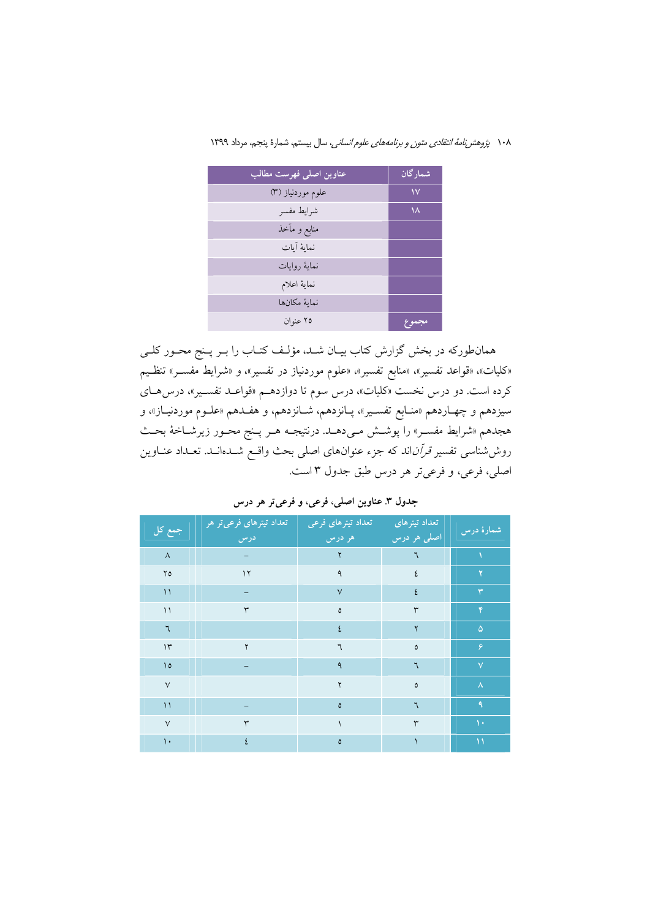| عناوين اصلى فهرست مطالب | شمارگان |
|-------------------------|---------|
| علوم موردنیاز (۳)       | ١٧      |
| شرايط مفسر              | ۱۸      |
| منابع و مآخذ            |         |
| نماية آيات              |         |
| نماية روايات            |         |
| نماية اعلام             |         |
| نماىة مكانها            |         |
| ۲۵ عنوان                | مجموح   |

همانطورکه در بخش گزارش کتاب بیـان شـد، مؤلـف کتـاب را بـر پـنج محـور کلـی «کلیات»، «قواعد تفسیر»، «منابع تفسیر»، «علوم موردنیاز در تفسیر»، و «شرایط مفســر» تنظـیم کرده است. دو درس نخست «کلیات»، درس سوم تا دوازدهـم «قواعـد تفسـیر»، درس۵ـای سيزدهم و چهـاردهم «منـابع تفسـير»، پـانزدهم، شـانزدهم، و هفـدهم «علـوم موردنيـاز»، و هجدهم «شرایط مفسـر» را پوشــش مـیدهــد. درنتیجـه هــر پــنج محــور زیرشــاخهٔ بحــث روششناسی تفسیر *قرآن*اند که جزء عنوانهای اصلی بحث واقـع شــدانــد. تعــداد عنــاوین اصلي، فرعي، و فرعي تر هر درس طبق جدول ٣ است.

|  |  |  |  |  |  |  |  | جدول ۳. عناوين اصلي، فرعي، و فرعيتر هر درس |  |  |
|--|--|--|--|--|--|--|--|--------------------------------------------|--|--|
|--|--|--|--|--|--|--|--|--------------------------------------------|--|--|

| جمع کل        | تعداد تیترهای فرعیتر هر <sub>ا</sub><br>ادرس | تعداد تيترهاي فرعى<br>هر درس | تعداد تيترهاى<br>اصلي هر درس | شمارهٔ درس              |
|---------------|----------------------------------------------|------------------------------|------------------------------|-------------------------|
| $\Lambda$     |                                              | ۲                            | ٦                            |                         |
| $Y_0$         | $\gamma$                                     | ٩                            |                              | ۲                       |
| $\setminus$   |                                              | $\vee$                       | ٤                            | ٣                       |
| $\setminus$   | $\mathsf{r}$                                 | ٥                            | ٣                            | Y.                      |
| $\mathcal{L}$ |                                              | ٤                            | ۲                            | $\Delta$                |
| $\mathcal{N}$ | ۲                                            | ٦                            | ٥                            | ۶                       |
| $\Delta$      |                                              | ٩                            | ٦                            | $\overline{\mathsf{v}}$ |
| $\vee$        |                                              | ۲                            | ٥                            | $\boldsymbol{\lambda}$  |
| $\setminus$   |                                              | ٥                            | ٦                            | $\mathbf{A}$            |
| $\vee$        | $\mathsf{r}$                                 |                              | ٣                            | $\Delta$                |
| $\mathcal{N}$ | ٤                                            | $\pmb{\circ}$                |                              | $\Delta$                |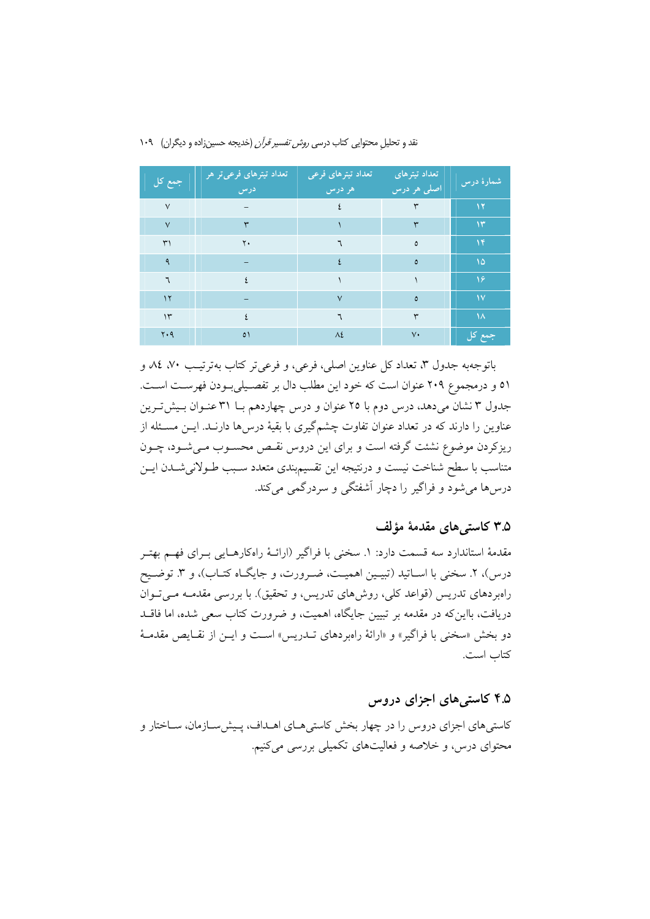| جمع کل        | تعداد تیترهای فرعیتر هر<br>درس | تعداد تیترهای فرعی<br>۔ هر درس | <mark>تعداد تیترهای</mark><br>اصلی هر درس | شمارهٔ درس    |
|---------------|--------------------------------|--------------------------------|-------------------------------------------|---------------|
| $\vee$        |                                | ٤                              | ٣                                         | ۱۲            |
| $\vee$        | ٣                              |                                | ٣                                         | $\mathcal{N}$ |
| $\uparrow$    | $\mathsf{Y}$                   | ٦                              | ٥                                         | $\mathcal{N}$ |
| ٩             |                                | $\mathbf{S}$                   | ٥                                         | $\Delta$      |
| ٦             | $\mathcal{L}$                  |                                |                                           | $\sqrt{2}$    |
| $\mathcal{N}$ | -                              | $\vee$                         | ٥                                         | <b>IV</b>     |
| $\Upsilon$    | $\mathsf{S}$                   | ٦                              | ٣                                         | $\lambda$     |
| $Y \cdot 9$   | $\circ$                        | $\Lambda$ ٤                    | $V\cdot$                                  | جمع کل        |

باتوجهبه جدول ٣، تعداد كل عناوين اصلي، فرعي، و فرعي تر كتاب بهتر تيب ٧٠، ٨٤، م ٥١ و درمجموع ٢٠٩ عنوان است كه خود اين مطلب دال بر تفصـيليبودن فهرسـت اسـت. جدول ۳ نشان می دهد، درس دوم با ۲۵ عنوان و درس چهاردهم بــا ۳۱ عنــوان بــیش تــرین عناوین را دارند که در تعداد عنوان تفاوت چشمگیری با بقیهٔ درس۵ها دارنــد. ایــن مســئله از ریزکردن موضوع نشئت گرفته است و برای این دروس نقبص محسبوب می شبود، چبون متناسب با سطح شناخت نیست و درنتیجه این تقسیم.بندی متعدد سـبب طـولانیشــدن ایــن درس۵ها می شود و فراگیر را دچار آشفتگی و سردرگمی می کند.

#### ۳.۵ کاستی های مقدمهٔ مؤلف

مقدمهٔ استاندارد سه قسمت دارد: ۱. سخنی با فراگیر (ارائـهٔ راهکارهـایی بـرای فهـم بهتـر درس)، ۲. سخنی با اسـاتید (تبیـین اهمیـت، ضـرورت، و جایگـاه کتـاب)، و ۳. توضـیح راهبردهای تدریس (قواعد کلی، روشهای تدریس، و تحقیق). با بررسی مقدمـه مـیتوان دریافت، بااین که در مقدمه بر تبیین جایگاه، اهمیت، و ضرورت کتاب سعی شده، اما فاقــد دو بخش «سخني با فراگير» و «ارائهٔ راهبردهاي تـــدريس» اســت و ايــن از نقــايص مقدمــهٔ كتاب است.

### ۴.۵ کاستی های اجزای دروس

کاستی های اجزای دروس را در چهار بخش کاستی هـای اهـداف، پـیش سـازمان، سـاختار و محتوای درس، و خلاصه و فعالیتهای تکمیلی بررسی می کنیم.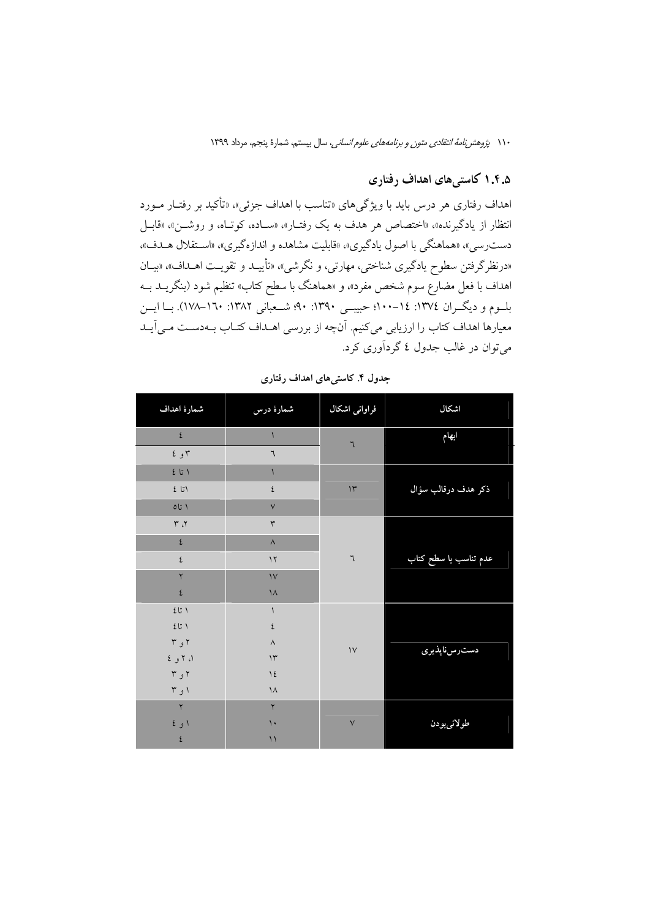## ۱.۴.۵ کاستیهای اهداف رفتاری

اهداف رفتاري هر درس بايد با ويژگي هاي «تناسب با اهداف جزئي» «تأكيد بر رفتـار مــورد انتظار از یادگیرنده»، «اختصاص هر هدف به یک رفتـار»، «سـاده، کوتـاه، و روشـن»، «قابـل دست٫سی»، «هماهنگی با اصول یادگیری»، «قابلیت مشاهده و اندازهگیری»، «استقلال هـدف»، «درنظرگرفتن سطوح یادگیری شناختی، مهارتی، و نگرشی»، «تأییـد و تقویـت اهـداف»، «بیـان اهداف با فعل مضارع سوم شخص مفرد»، و «هماهنگ با سطح کتاب» تنظیم شود (بنگریــد بــه بلسوم و دیگــران ١٣٧٤: ١٤-١٠٠؛ حبيبــي ١٣٩٠: ٩٠؛ شــعباني ١٣٨٢: ١٦٠-١٧٨). بــا ايـــن معیارها اهداف کتاب را ارزیابی می کنیم. آنچه از بررسی اهـداف کتـاب بـهدسـت مـی آیـد می توان در غالب جدول ٤ گردآوری کرد.

| شمارة اهداف                                     | شمارهٔ درس           | فراوانی اشکال | اشكال                 |
|-------------------------------------------------|----------------------|---------------|-----------------------|
| $\epsilon$                                      |                      | ٦             | ابهام                 |
| ۲ و ٤                                           | ٦                    |               |                       |
|                                                 | $\sqrt{2}$           |               |                       |
| 251                                             | ٤                    | $\mathcal{N}$ | ذكر هدف درقالب سؤال   |
| 017                                             | $\vee$               |               |                       |
| $\Upsilon$ ، ۳                                  | $\mathbf{\breve{r}}$ |               |                       |
| ٤                                               | $\wedge$             |               |                       |
| ٤                                               | $\gamma$             | ٦             | عدم تناسب با سطح کتاب |
| ۲                                               | $\mathcal{V}$        |               |                       |
| ٤                                               | $\lambda$            |               |                       |
| $\mathfrak{t}$<br>$\mathfrak{t}$ $\mathfrak{t}$ | $\sqrt{2}$           |               |                       |
| 251                                             | ٤                    |               |                       |
| ۲ و ۳                                           | $\wedge$             | $\mathcal{N}$ | دسترس ناپذيرى         |
| ۱، ۲ و ٤                                        | $\gamma$             |               |                       |
| ۲ و ۳                                           | $\frac{1}{2}$        |               |                       |
| ۱ و ۳                                           | $\lambda$            |               |                       |
| $\mathbf{r}$                                    | $\mathsf{r}$         |               |                       |
| ۱ و ٤                                           | $\mathcal{L}$        | $\sqrt{}$     | طولانىبودن            |
| ٤                                               | $\setminus$          |               |                       |

جدول ۴. کاستی های اهداف رفتاری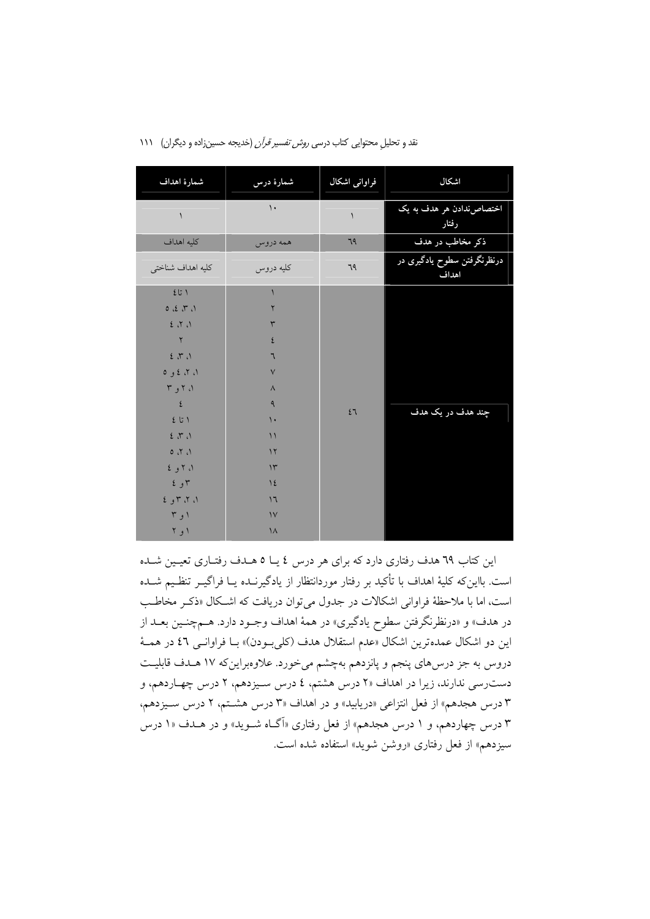| شمارة اهداف       | شمارهٔ درس    | فراوانی اشکال | اشكال                                |
|-------------------|---------------|---------------|--------------------------------------|
| $\backslash$      | $\mathcal{L}$ | $\lambda$     | اختصاص ندادن هر هدف به یک<br>رفتار   |
| كليه اهداف        | همه دروس      | 79            | ذکر مخاطب در هدف                     |
| كليه اهداف شناختي | كليه دروس     | 79            | درنظرنگرفتن سطوح یادگیری در<br>اهداف |
| ۱ تا ٤            |               |               |                                      |
| 0 2 7 1           | ۲             |               |                                      |
| 2.7.1             | $\mathsf{r}$  |               |                                      |
| $\mathbf Y$       | ٤             |               |                                      |
| $2\pi$            | ٦             |               |                                      |
| ۱، ۲، ٤ و ٥       | $\vee$        |               |                                      |
| ۱، ۲ و ۳          | $\wedge$      |               |                                      |
| $\mathfrak t$     | ٩             | 27            | چند هدف در یک هدف                    |
| とじし               | $\mathcal{L}$ |               |                                      |
| $2\pi$            | $\mathcal{L}$ |               |                                      |
| 0, 7, 0           | $\gamma$      |               |                                      |
| ۱، ۲ و ٤          | $\gamma$      |               |                                      |
| ۲ و ٤             | $\frac{1}{2}$ |               |                                      |
| ۱، ۲، ۳ و ٤       | 17            |               |                                      |
| ۱ و ۳             | $\mathcal{V}$ |               |                                      |
| ۱ و ۲             | $\lambda$     |               |                                      |

این کتاب ٦٩ هدف رفتاری دارد که برای هر درس ٤ یـا ٥ هــدف رفتــاری تعیــین شــده است. بااین که کلیهٔ اهداف با تأکید بر رفتار موردانتظار از یادگیرنـده یــا فراگیــر تنظـیم شــده است، اما با ملاحظهٔ فراوانی اشکالات در جدول می توان دریافت که اشکال «ذکر مخاطب در هدف» و «درنظرنگرفتن سطوح يادگيري» در همهٔ اهداف وجـود دارد. هـمچنـين بعـد از اين دو اشكال عمدهترين اشكال «عدم استقلال هدف (كليبودن)» بـا فراوانـي ٤٦ در همــهٔ دروس به جز درس۵ای پنجم و پانزدهم بهچشم میخورد. علاوهبراینکه ۱۷ هـدف قابلیـت دست رسی ندارند، زیرا در اهداف ۲۱ درس هشتم، ٤ درس سـیزدهم، ۲ درس چهـاردهم، و ۳ درس هجدهم» از فعل انتزاعی «دریابید» و در اهداف «۳ درس هشتم، ۲ درس سـیزدهم، ۳ درس چهاردهم، و ۱ درس هجدهم» از فعل رفتاری «اَگـاه شــوید» و در هــدف «۱ درس سيزدهم» از فعل رفتاري «روشن شويد» استفاده شده است.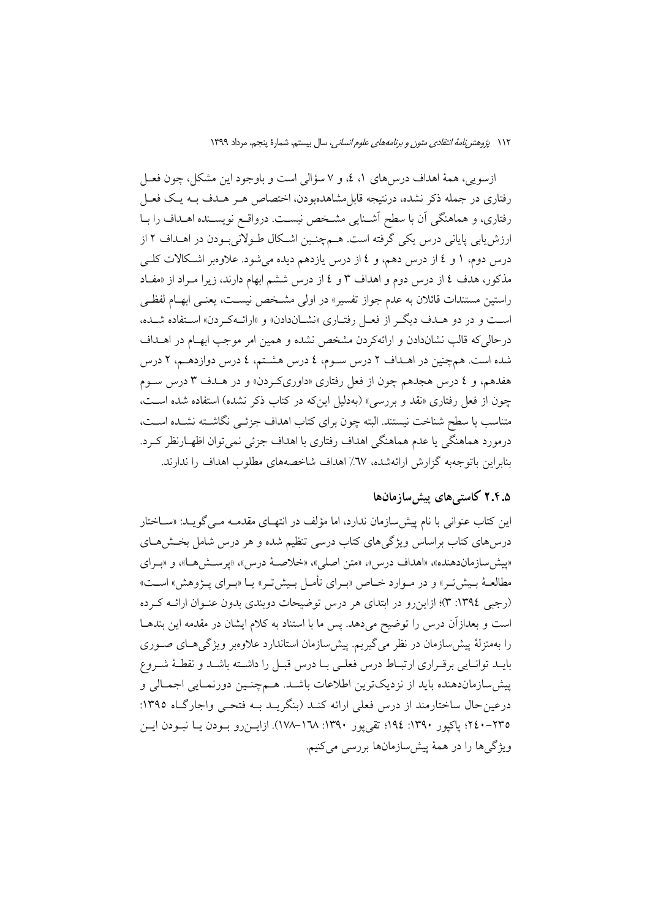ازسويي، همهٔ اهداف درس۵لي ۱، ٤، و ۷ سؤالي است و باوجود اين مشكل، چون فعـل رفتاری در جمله ذکر نشده، درنتیجه قابلِ مشاهدهبودن، اختصاص هـر هـدف بــه یـک فعـل رفتاری، و هماهنگی آن با سطح آشـنایی مشـخص نیسـت. درواقـع نویسـنده اهـداف را بـا ارزش پابی پایانی درس یکی گرفته است. هـمچنـین اشـکال طـولانی بـودن در اهـداف ۲ از درس دوم، ۱ و ٤ از درس دهم، و ٤ از درس یازدهم دیده می شود. علاوهبر اشکالات کلــی مذکور، هدف ٤ از درس دوم و اهداف ٣ و ٤ از درس ششم ابهام دارند، زيرا مـراد از «مفـاد راستین مستندات قائلان به عدم جواز تفسیر» در اولی مشخص نیسـت، یعنـی ابهـام لفظـی است و در دو هـدف ديگـر از فعـل رفتـاري «نشـاندادن» و «ارائــهكـردن» اسـتفاده شــده، درحالي كه قالب نشاندادن و ارائهكردن مشخص نشده و همين امر موجب ابهــام در اهــداف شده است. همچنین در اهـداف ۲ درس سـوم، ٤ درس هشـتم، ٤ درس دوازدهـم، ۲ درس هفدهم، و ٤ درس هجدهم چون از فعل رفتاري «داوريكردن» و در هـدف ٣ درس سـوم چون از فعل رفتاری «نقد و بررسی» (بهدلیل اینکه در کتاب ذکر نشده) استفاده شده است، متناسب با سطح شناخت نيستند. البته چون براي كتاب اهداف جزئـي نگاشــته نشــده اســت، درمورد هماهنگي يا عدم هماهنگي اهداف رفتاري با اهداف جزئي نمي توان اظهـارنظر كـرد. بنابراین باتوجهیه گزارش ارائهشده، ٦٧٪ اهداف شاخصههای مطلوب اهداف را ندارند.

#### ۲.۴.۵ کاستی های پیش سازمانها

این کتاب عنوانی با نام پیش سازمان ندارد، اما مؤلف در انتهای مقدمـه مـی گویـد: «سـاختار درسهای کتاب براساس ویژگیهای کتاب درسی تنظیم شده و هر درس شامل بخشهای «پیش سازماندهنده»، «اهداف درس»، «متن اصلی»، «خلاصهٔ درس»، «یرستش هـا»، و «بـرای مطالعـهٔ بـیشتر » و در مـوارد خـاص «بـرای تأمـل بـیشتر » یـا «بـرای پـژوهش» اسـت» (رجبی ١٣٩٤: ٣)؛ ازاین رو در ابتدای هر درس توضیحات دوبندی بدون عنـوان ارائـه كـرده است و بعدازآن درس را توضیح میدهد. پس ما با استناد به کلام ایشان در مقدمه این بندهـا را بهمنزلهٔ پیش سازمان در نظر می گیریم. پیش سازمان استاندارد علاوهبر ویژگی هـای صـوری بايـد توانـايي برقـراري ارتبـاط درس فعلـي بـا درس قبـل را داشـته باشـد و نقطـهٔ شـروع پیش سازماندهنده باید از نزدیکترین اطلاعات باشـد. هـمچنـین دورنمـایی اجمـالی و درعینحال ساختارمند از درس فعلی ارائه کنـد (بنگریـد بـه فتحـی واجارگـاه ١٣٩٥: ٢٣٥-١٣٤٠؛ پاکپور ١٣٩٠: ١٩٤؛ تقي يور ١٣٩٠: ١٧٨-١٧٨). ازايـنرو بـودن يــا نبـودن ايــن ویژگی ها را در همهٔ پیش سازمانها بررسی میکنیم.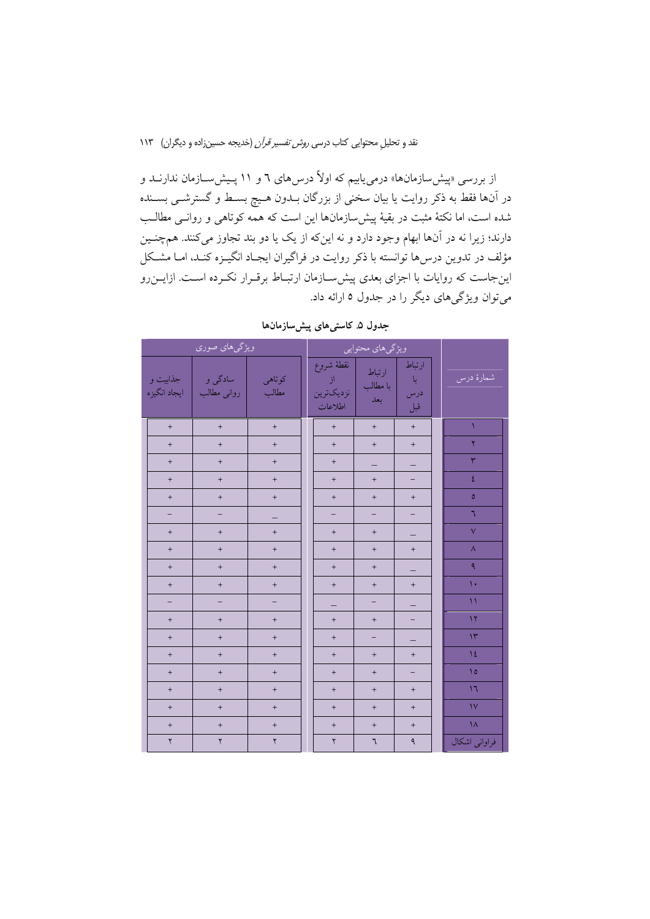از بررسی «پیش سازمانها» درمیbیابیم که اولاً درس۵های ٦ و ۱۱ پـیش ســازمان ندارنــد و در آنها فقط به ذکر روایت یا بیان سخنی از بزرگان بــدون هــیچ بســط و گسترشــی بســنده شده است، اما نکتهٔ مثبت در بقیهٔ پیش سازمانها این است که همه کوتاهی و روانسی مطالب دارند؛ زیرا نه در آنها ابهام وجود دارد و نه اینکه از یک یا دو بند تجاوز میکنند. همچنـین مؤلف در تدوین درسها توانسته با ذکر روایت در فراگیران ایجـاد انگیـزه کنـد، امـا مشـكل اینجاست که روایات با اجزای بعدی پیش سازمان ارتبـاط برقـرار نکـرده اسـت. ازایــنرو مي توان ويژگي هاي ديگر را در جدول ٥ ارائه داد.

|                          | ویژگیهای صوری          |                          | ویژگیهای محتوایی |                                         |                           |                            |                         |
|--------------------------|------------------------|--------------------------|------------------|-----------------------------------------|---------------------------|----------------------------|-------------------------|
| جذابيت و<br>ايجاد انگيزه | سادگي و<br>روانی مطالب | كوتاهي<br>مطالب          |                  | نقطة شروع<br>از<br>نزديكترين<br>اطلاعات | ارتباط<br>با مطالب<br>بعد | ارتباط<br>با<br>درس<br>قبل | شمارهٔ درس              |
| $\boldsymbol{+}$         | $^{\mathrm{+}}$        | $\pm$                    |                  | $\pm$                                   | $\pm$                     | $\ddot{}$                  |                         |
| $\pm$                    | $\qquad \qquad +$      | $\qquad \qquad +$        |                  | $\ddot{}$                               | $\qquad \qquad +$         | $\boldsymbol{+}$           | $\bar{\mathbf{Y}}$      |
| $\pm$                    | $\ddot{}$              | $\pm$                    |                  | $\ddot{}$                               | $\qquad \qquad -$         | $\overline{\phantom{0}}$   | $\overline{\mathbf{r}}$ |
| $\pm$                    | $\ddot{}$              | $\qquad \qquad +$        |                  | $\ddot{}$                               | $\ddot{}$                 | $\overline{a}$             | $\bar{\mathcal{E}}$     |
| $\pm$                    | $\ddot{}$              | $+$                      |                  | $\ddot{}$                               | $\ddot{}$                 | $\ddot{}$                  | $\bullet$               |
| $\overline{\phantom{0}}$ | -                      |                          |                  | $\overline{\phantom{0}}$                | $\overline{\phantom{0}}$  | ÷,                         | ٦                       |
| $\pm$                    | $\qquad \qquad +$      | $\qquad \qquad +$        |                  | $\qquad \qquad +$                       | $\boldsymbol{+}$          | $\equiv$                   | $\bar{\mathsf{v}}$      |
| $\pm$                    | $\ddot{}$              | $\pm$                    |                  | $\ddot{}$                               | $\qquad \qquad +$         | $\qquad \qquad +$          | $\bar{\mathbf{A}}$      |
| $\,$ + $\,$              | $^{\mathrm{+}}$        | $\qquad \qquad +$        |                  | $\qquad \qquad +$                       | $^{+}$                    |                            | ٩                       |
| $\,$ + $\,$              | $\qquad \qquad +$      | $\qquad \qquad +$        |                  | $\qquad \qquad +$                       | $\boldsymbol{+}$          | $\boldsymbol{+}$           | $\bar{\chi}$ .          |
| $\overline{\phantom{0}}$ | ÷,                     | $\overline{\phantom{0}}$ |                  | $\equiv$                                | $\overline{\phantom{0}}$  | $\qquad \qquad -$          | $\boldsymbol{\lambda}$  |
| $\pm$                    | $\ddot{}$              | $\ddot{}$                |                  | $\ddot{}$                               | $\qquad \qquad +$         | $\overline{a}$             | $\mathcal{N}$           |
| $\pm$                    | $^{\mathrm{+}}$        | $^{\mathrm{+}}$          |                  | $\ddot{}$                               | $\overline{\phantom{0}}$  | $\overline{\phantom{0}}$   | $\mathcal{W}$           |
| $\pm$                    | $\qquad \qquad +$      | $\boldsymbol{+}$         |                  | $\ddot{}$                               | $\qquad \qquad +$         | $\ddot{}$                  | $\Delta$                |
| $\qquad \qquad +$        | $\qquad \qquad +$      | $\qquad \qquad +$        |                  | $\pm$                                   | $\qquad \qquad +$         | -                          | $\Delta$                |
| $\ddot{}$                | $\ddot{}$              | $\ddot{}$                |                  | $\ddot{}$                               | $\ddot{}$                 | $\ddot{}$                  | $\mathcal{M}$           |
| $\pm$                    | $^{\mathrm{+}}$        | $^{\mathrm{+}}$          |                  | $\qquad \qquad +$                       | $\boldsymbol{+}$          | $\boldsymbol{+}$           | $\bar{\mathbf{V}}$      |
| $\pm$                    | $\boldsymbol{+}$       | $\pm$                    |                  | $\ddot{}$                               | $\ddot{}$                 | $\ddot{}$                  | $\bar{\Lambda}$         |
| $\breve{\mathbf{y}}$     | $\mathbf{\breve{y}}$   | $\breve{\mathbf{y}}$     |                  | $\mathbf{r}$                            | ٦                         | ٩                          | فراوانی اشکال           |

جدول ۵ کاستی های پیش سازمان ها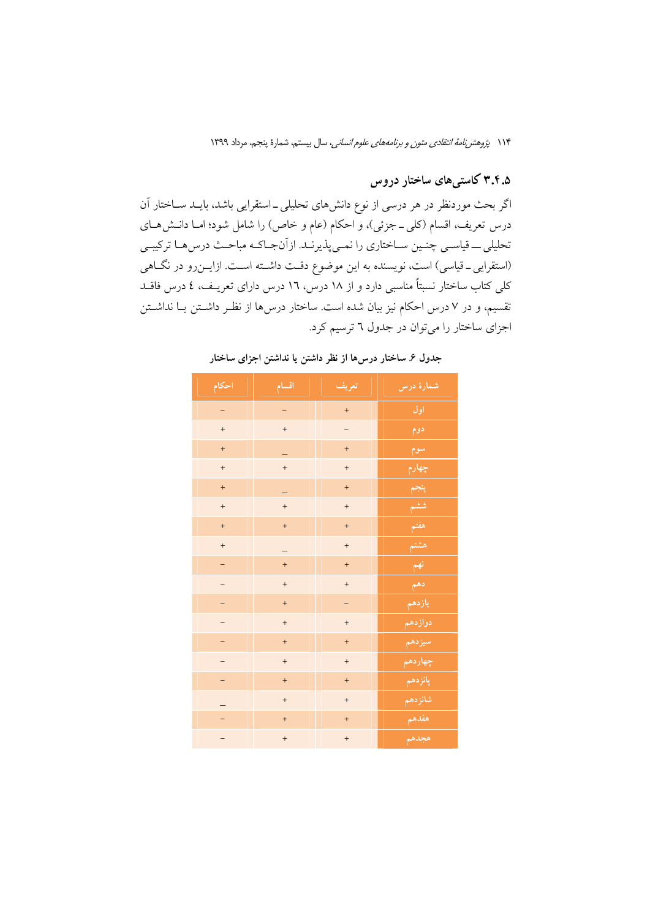## ۳.۴.۵ کاستیهای ساختار دروس

اگر بحث موردنظر در هر درسی از نوع دانش۵مای تحلیلی ــ استقرایی باشد، بایــد ســاختار آن درس تعریف، اقسام (کلی ــ جزئی)، و احکام (عام و خاص) را شامل شود؛ امــا دانــشهــای تحلیلی ـــ قیاســی چنــین ســاختاری را نمــیپذیرنــد. ازآنجــاکــه مباحــث درس۵هــا ترکیبــی (استقرایی ـ قیاسی) است، نویسنده به این موضوع دقـت داشــته اســت. ازایــنرو در نگــاهی کلی کتاب ساختار نسبتاً مناسبی دارد و از ۱۸ درس، ۱۲ درس دارای تعریـف، ٤ درس فاقــد .<br>تقسیم، و در ۷ درس احکام نیز بیان شده است. ساختار درس۵ها از نظـر داشــتن یــا نداشــتن اجزای ساختار را می توان در جدول ٦ ترسیم کرد.

| احكام                    | اقسام             | تعريف             | <mark>شمارهٔ درس</mark>               |
|--------------------------|-------------------|-------------------|---------------------------------------|
| $\equiv$                 |                   | $+$               | اول                                   |
| $\pm$                    | $\ddot{}$         |                   | دوم                                   |
| $\ddot{}$                |                   | $+$               | سوم                                   |
| $\boldsymbol{+}$         | $\ddot{}$         | $^{+}$            | چهارم                                 |
| $\boldsymbol{+}$         |                   | $+$               | پنجم                                  |
| $\boldsymbol{+}$         | $\ddot{}$         | $^{+}$            | ششم                                   |
| $\color{red}{+}$         | $\ddot{}$         | $\ddot{}$         | هفتم                                  |
| $\qquad \qquad +$        |                   | $^{+}$            | هشتم                                  |
| $\overline{\phantom{a}}$ | $\ddot{}$         | $\qquad \qquad +$ | $P^2$                                 |
| $\overline{\phantom{m}}$ | $+$               | $\qquad \qquad +$ | $\mathcal{L}^{\mathbf{a},\mathbf{b}}$ |
| $\overline{\phantom{m}}$ | $\qquad \qquad +$ | $\qquad \qquad -$ |                                       |
| $\qquad \qquad -$        | $\qquad \qquad +$ | $\qquad \qquad +$ | <u>دواز</u> دهم                       |
| $\overline{\phantom{a}}$ | $\ddot{}$         | $\ddot{}$         | سيزدهم                                |
| $\qquad \qquad -$        | $\qquad \qquad +$ | $\qquad \qquad +$ | چهاردهم                               |
| $\equiv$                 | $\qquad \qquad +$ | $\ddot{}$         | پانزدهم                               |
| -                        | $\qquad \qquad +$ | $\qquad \qquad +$ | شانزدهم                               |
| $\equiv$                 | $+$               | $\ddot{}$         | هفدهم                                 |
| —                        | $\qquad \qquad +$ | $\qquad \qquad +$ | هجدهم                                 |

جدول ۶. ساختار درسها از نظر داشتن یا نداشتن اجزای ساختار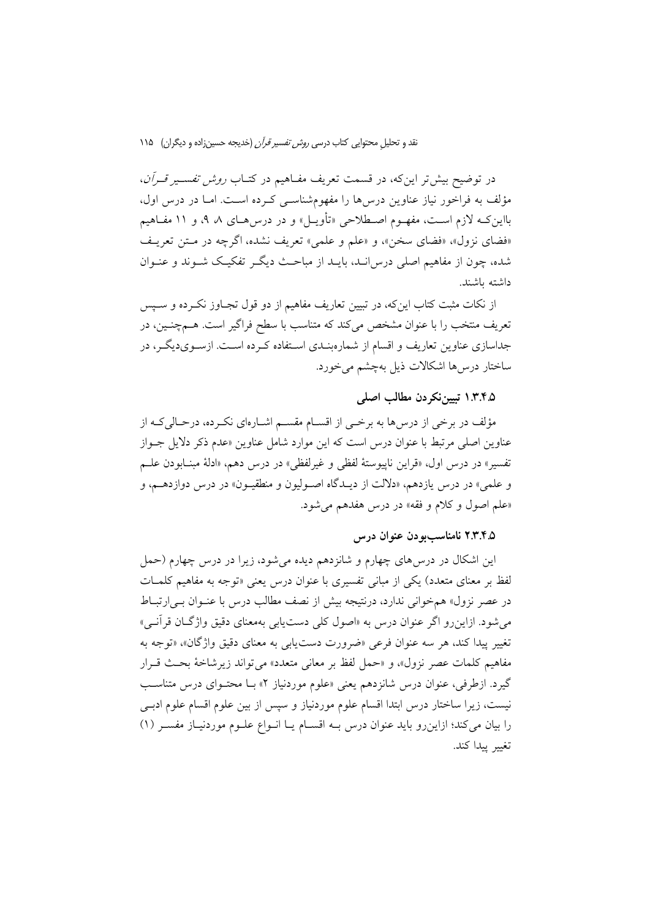در توضیح بیش تر این که، در قسمت تعریف مفـاهیم در کتــاب *روش تفســیر قــرأن*، مؤلف به فراخور نیاز عناوین درس۵ما را مفهومشناسـی کـرده اسـت. امـا در درس اول، بااین کــه لازم اســت، مفهــوم اصــطلاحی «تأویــل» و در درس۵هــای ۸ ۹، و ۱۱ مفــاهیم «فضای نزول»، «فضای سخن»، و «علم و علمی» تعریف نشده، اگرچه در متن تعریف شده، چون از مفاهیم اصلی درس انـد، بایــد از مباحـث دیگــر تفکیــک شــوند و عنــوان داشته ىاشند.

از نکات مثبت کتاب اینکه، در تبیین تعاریف مفاهیم از دو قول تجـاوز نکـرده و سـیس تعریف منتخب را با عنوان مشخص میکند که متناسب با سطح فراگیر است. هــمچنــین، در جداسازی عناوین تعاریف و اقسام از شمارهبنـدی اسـتفاده کـرده اسـت. ازسـویدیگـر، در ساختار درسها اشكالات ذيل بهچشم مى خورد.

#### ۱.۳.۴.۵ تبيين نكر دن مطالب اصلي

مؤلف در برخی از درسها به برخـی از اقســام مقســم اشــارهای نکــرده، درحــالیکــه از عناوین اصلی مرتبط با عنوان درس است که این موارد شامل عناوین «عدم ذکر دلایل جـواز تفسیر» در درس اول، «قراین ناپیوستهٔ لفظی و غیرلفظی» در درس دهم، «ادلهٔ مبنـابودن علــم و علمي» در درس يازدهم، «دلالت از ديـدگاه اصـوليون و منطقيـون» در درس دوازدهـم، و «علم اصول و كلام و فقه» در درس هفدهم مي شود.

#### ۲.۴.۵ نامناسب بودن عنوان درس

این اشکال در درس۵های چهارم و شانزدهم دیده میشود، زیرا در درس چهارم (حمل لفظ بر معنای متعدد) یکی از مبانی تفسیری با عنوان درس یعنی «توجه به مفاهیم کلمـات در عصر نزول» همخوانی ندارد، درنتیجه بیش از نصف مطالب درس با عنـوان بـی|رتبـاط مي شود. ازاين رو اگر عنوان درس به «اصول كلي دست يابي بهمعناي دقيق واژگـان قرآنــي» تغيير پيدا كند، هر سه عنوان فرعي «ضرورت دست يابي به معناي دقيق واژگان»، «توجه به مفاهيم كلمات عصر نزول»، و «حمل لفظ بر معاني متعدد» مي تواند زيرشاخة بحث قـرار گیرد. ازطرفی، عنوان درس شانزدهم یعنی «علوم موردنیاز ۲» بـا محتـوای درس متناسـب نیست، زیرا ساختار درس ابتدا اقسام علوم موردنیاز و سپس از بین علوم اقسام علوم ادبـی را بيان مي كند؛ ازاين رو بايد عنوان درس بـه اقسـام يـا انـواع علـوم موردنيـاز مفسـر (١) تغيبر يبدا كند.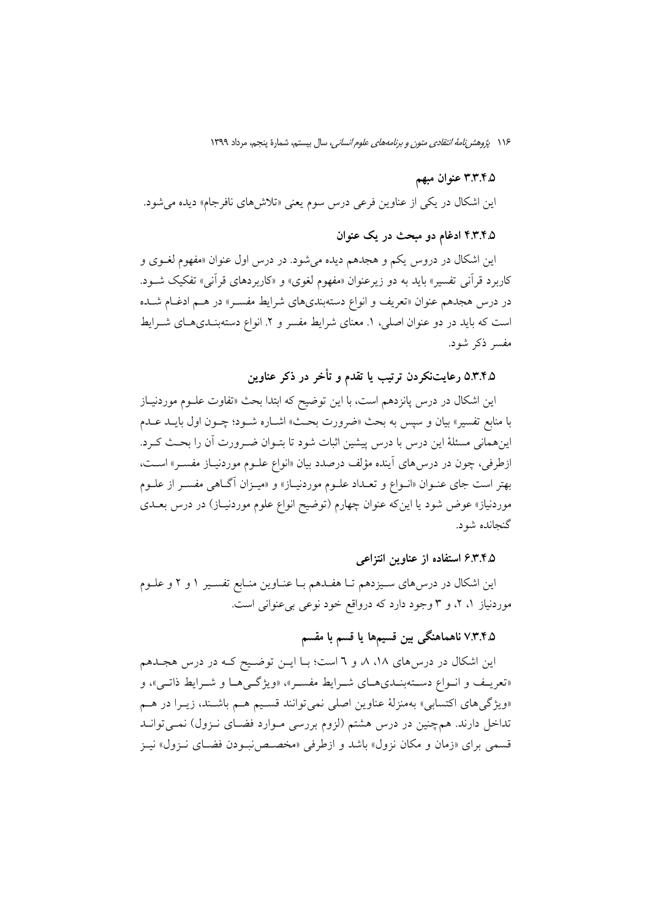#### ۳.۳.۴.۵ عنوان مبهم

این اشکال در یکی از عناوین فرعی درس سوم یعنی «تلاشهای نافرجام» دیده می شود.

#### ۴.۴.۶.۵ ادغام دو مبحث در یک عنوان

این اشکال در دروس یکم و هجدهم دیده میشود. در درس اول عنوان «مفهوم لغــوی و کاربرد قرآنی تفسیر» باید به دو زیرعنوان «مفهوم لغوی» و «کاربردهای قرآنی» تفکیک شــود. در درس هجدهم عنوان «تعریف و انواع دستهبندیهای شرایط مفسـر» در هـم ادغـام شـده است که باید در دو عنوان اصلی، ۱. معنای شرایط مفسر و ۲. انواع دستهبنـدیهـای شــرایط مفسہ ذکر شود.

۵.۳.۴.۵ رعایتنکردن ترتیب یا تقدم و تأخر در ذکر عناوین

این اشکال در درس پانزدهم است، با این توضیح که ابتدا بحث «تفاوت علـوم موردنیـاز با منابع تفسیر» بیان و سپس به بحث «ضرورت بحـث» اشـاره شــود؛ چــون اول بایــد عــدم اینهمانی مسئلهٔ این درس با درس پیشین اثبات شود تا بتـوان ضـرورت آن را بحـث کـرد. ازطرفي، چون در درس¢اي آينده مؤلف درصدد بيان «انواع علـوم موردنيـاز مفسـر» اسـت، بهتر است جاي عنــوان «انــواع و تعــداد علــوم موردنيــاز» و «ميــزان آگــاهـي مفســر از علــوم موردنیاز» عوض شود یا اینکه عنوان چهارم (توضیح انواع علوم موردنیـاز) در درس بعــدی گنجانده شود.

#### ۶.۳.۴.۵ استفاده از عناوین انتزاعی

این اشکال در درس۵ای سـیزدهم تـا هفـدهم بـا عنـاوین منـابع تفسـیر ۱ و ۲ و علـوم موردنیاز ۱، ۲، و ۳ وجود دارد که درواقع خود نوعی بیءنوانی است.

#### ۷.۳.۴.۵ ناهماهنگی بین قسیمها یا قسم با مقسم

این اشکال در درس های ۱۸، ۸، و ٦ است؛ بـا ایـن توضـیح کـه در درس هجـدهم «تعریـف و انـواع دسـتهبنـديهـاي شـرايط مفسـر»، «ويژگـیهـا و شـرايط ذاتـی»، و «ویژگیهای اکتسابی» بهمنزلهٔ عناوین اصلی نمی توانند قسـیم هـم باشـند، زیـرا در هـم تداخل دارند. همچنین در درس هشتم (لزوم بررسی مـوارد فضـای نـزول) نمـیٍ توانـد قسمی برای «زمان و مکان نزول» باشد و ازطرفی «مخصص نبودن فضای نـزول» نیـز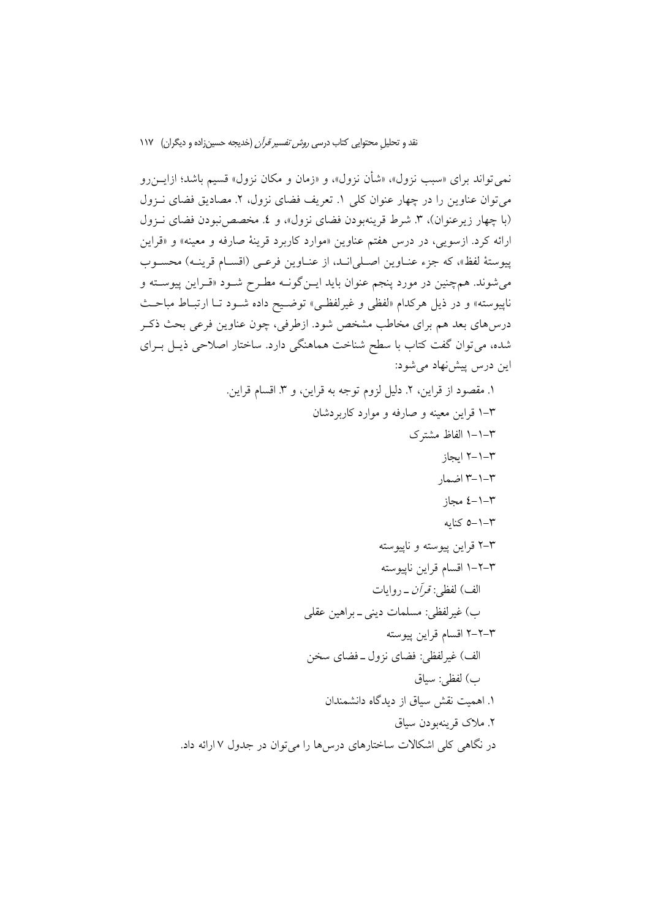نمی تواند برای «سبب نزول»، «شأن نزول»، و «زمان و مکان نزول» قسیم باشد؛ ازایــن(و میتوان عناوین را در چهار عنوان کلی ۱. تعریف فضای نزول، ۲. مصادیق فضای نـزول (با چهار زیرعنوان)، ۳. شرط قرینهبودن فضای نزول»، و ٤. مخصص نبودن فضای نـزول ارائه کرد. ازسویی، در درس هفتم عناوین «موارد کاربرد قرینهٔ صارفه و معینه» و «قراین پیوستهٔ لفظ»، که جزء عنـاوین اصـلیانـد، از عنـاوین فرعـی (اقسـام قرینـه) محسـوب میشوند. همچنین در مورد پنجم عنوان باید ایــنگونــه مطـرح شــود «قــراین پیوســته و ناپیوسته» و در ذیل هرکدام «لفظی و غیرلفظـی» توضـیح داده شـود تـا ارتبـاط مباحـث درسهای بعد هم برای مخاطب مشخص شود. ازطرفی، چون عناوین فرعی بحث ذکـر شده، می توان گفت کتاب با سطح شناخت هماهنگی دارد. ساختار اصلاحی ذیـل بــرای این درس پیشنهاد می شود: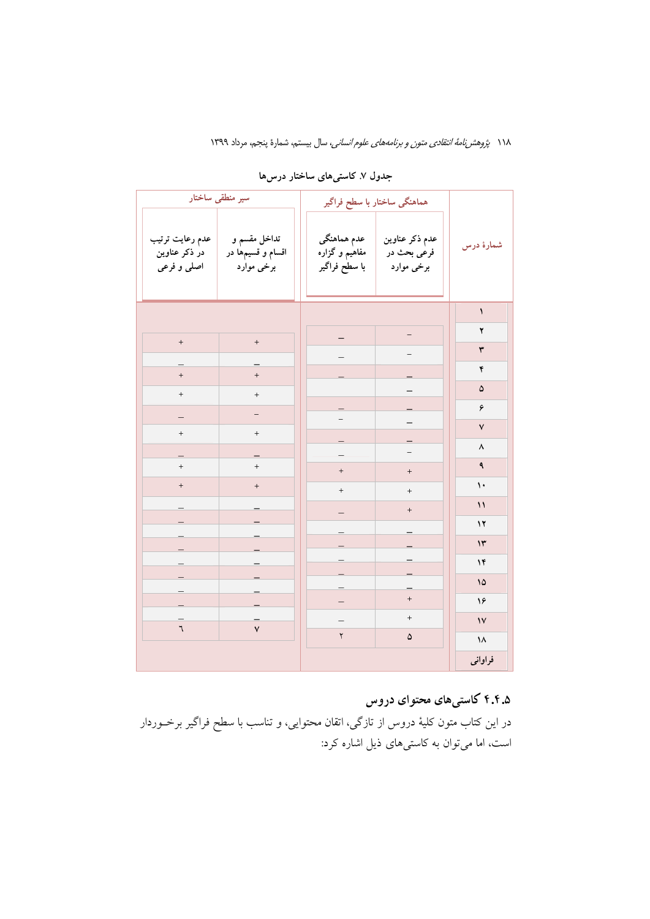|                                                 | سیر منطقی ساختار                                |                                                | هماهنگی ساختار با سطح فراگیر                |                      |  |
|-------------------------------------------------|-------------------------------------------------|------------------------------------------------|---------------------------------------------|----------------------|--|
| عدم رعايت ترتيب<br>در ذکر عناوین<br>اصلي و فرعي | تداخل مقسم و<br>اقسام و قسیمها در<br>برخي موارد | عدم هماهنگی<br>مفاهیم و گزاره<br>با سطح فراگیر | عدم ذکر عناوین<br>فرعی بحث در<br>برخي موارد | شمارهٔ درس           |  |
|                                                 |                                                 |                                                |                                             | $\blacklozenge$      |  |
| $+$                                             | $\boldsymbol{+}$                                |                                                | -                                           | ۲                    |  |
|                                                 |                                                 |                                                |                                             | $\mathbf{\breve{r}}$ |  |
| $\qquad \qquad +$                               | $\qquad \qquad +$                               |                                                |                                             | ۴                    |  |
| $\qquad \qquad +$                               | $\qquad \qquad +$                               |                                                |                                             | ۵                    |  |
|                                                 | -                                               |                                                |                                             | ۶                    |  |
| $\begin{array}{c} + \end{array}$                | $\pm$                                           |                                                |                                             | ٧                    |  |
|                                                 |                                                 |                                                |                                             | ٨                    |  |
| $\qquad \qquad +$                               | $\qquad \qquad +$                               | $\qquad \qquad +$                              | $\qquad \qquad +$                           | ٩                    |  |
| $\ddot{}$                                       | $\ddot{}$                                       | $^+$                                           | $^{\mathrm{+}}$                             | ١٠                   |  |
|                                                 |                                                 |                                                | $\qquad \qquad +$                           | $\mathcal{L}$        |  |
|                                                 |                                                 |                                                |                                             | $\mathbf{17}$        |  |
|                                                 |                                                 |                                                |                                             | $\mathsf{I}^\star$   |  |
|                                                 |                                                 |                                                |                                             | ۱۴                   |  |
|                                                 |                                                 |                                                |                                             | ۱۵                   |  |
|                                                 |                                                 |                                                | $^{+}$                                      | ۱۶                   |  |
| ٦                                               | $\mathbf{v}$                                    |                                                | $^{+}$                                      | $\mathsf{V}$         |  |
|                                                 |                                                 | $\mathbf{\breve{Y}}$                           | ۵                                           | ۱۸                   |  |
|                                                 |                                                 |                                                |                                             | فراوانى              |  |

جدول ۷. کاستی های ساختار درس ها

## ۴.۴.۵ کاستیهای محتوای دروس

در این کتاب متون کلیهٔ دروس از تازگی، اتقان محتوایی، و تناسب با سطح فراگیر برخـوردار است، اما میتوان به کاستیهای ذیل اشاره کرد: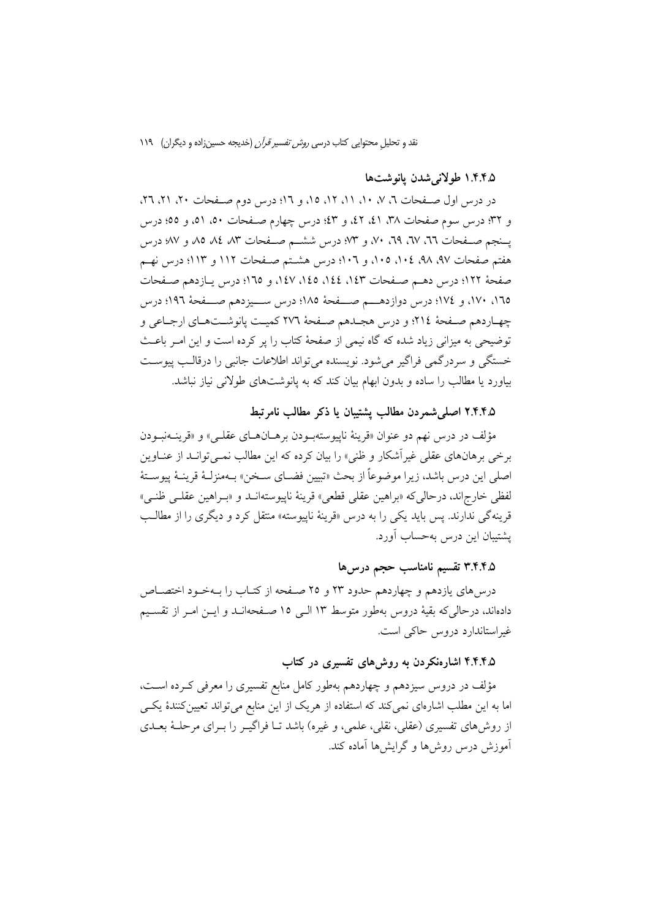#### ۱.۴.۴.۵ طولاني شدن يانوشتها

در درس اول صفحات ٦، ٧، ١١، ١١، ١٢، ١٥، و ١٦؛ درس دوم صفحات ٢٠، ٢١، ٢٦، و ٣٢؛ درس سوم صفحات ٣٨، ٤١، ٤٢، و ٤٣؛ درس چهارم صـفحات ٥٠، ٥١، و ٥٥؛ درس یــنجم صــفحات ٦٦، ٦٧، ٦٩، ٧٠، و ٣٣؛ درس ششــم صــفحات ٨٣ ٨٤، ٨٥ و ٧٧؛ درس هفتم صفحات ۹۷، ۹۸، ۱۰٤، ۱۰۵، و ۱۰۲؛ درس هشـتم صـفحات ۱۱۲ و ۱۱۳؛ درس نهــم صفحهٔ ١٢٢؛ درس دهـم صـفحات ١٤٣، ١٤٤، ١٤٥، ١٤٧، و ١٦٥؛ درس يـازدهم صـفحات ١٦٥، ١٧٠، و ١٧٤؛ درس دوازدهـــم صـــفحهٔ ١٨٥؛ درس ســيزدهم صـــفحهٔ ١٩٦؛ درس چهاردهم صفحهٔ ٢١٤؛ و درس هجـدهم صـفحهٔ ٢٧٦ كميـت يانوشـتهـاي ارجـاعي و توضیحی به میزانی زیاد شده که گاه نیمی از صفحهٔ کتاب را پر کرده است و این امـر باعـث خستگی و سردرگمی فراگیر میشود. نویسنده میتواند اطلاعات جانبی را درقالب پیوست بیاورد یا مطالب را ساده و بدون ابهام بیان کند که به پانوشتهای طولانی نیاز نباشد.

#### ۲.۴.۴.۵ اصلی شمردن مطالب پشتیبان یا ذکر مطالب نامرتبط

مؤلف در درس نهم دو عنوان «قرينهٔ ناپيوستهبـودن برهــانهــاي عقلــي» و «قرينــهنبــودن برخی برهانهای عقلی غیراًشکار و ظنی» را بیان کرده که این مطالب نمــیتوانــد از عنــاوین اصلي اين درس باشد، زيرا موضوعاً از بحث «تبيين فضــاي ســخن» بــهمنزلــهٔ قرينــهٔ پيوســتهٔ لفظي خارج اند، درحالي كه «براهين عقلي قطعي» قرينهٔ ناپيوستهانــد و «بـراهين عقلــي ظنــي» قرینهگی ندارند. پس باید یکی را به درس «قرینهٔ ناپیوسته» منتقل کرد و دیگری را از مطالـب يشتيبان اين درس بهحساب آورد.

### ٣.۴.۴.۵ تقسیم نامناسب حجم درس۵ا

درسهای یازدهم و چهاردهم حدود ۲۳ و ۲۵ صـفحه از کتـاب را بـهخـود اختصــاص دادهاند، درحالیکه بقیهٔ دروس بهطور متوسط ۱۳ الـی ۱۵ صـفحهانـد و ایــن امــر از تقســیم غیراستاندارد دروس حاکی است.

#### ۴.۴.۴.۵ اشارهنکردن به روشهای تفسیری در کتاب

مؤلف در دروس سیزدهم و چهاردهم بهطور کامل منابع تفسیری را معرفی کـرده اسـت، اما به این مطلب اشارهای نمی کند که استفاده از هریک از این منابع می تواند تعیین کنندهٔ یکسی از روشهای تفسیری (عقلی، نقلی، علمی، و غیره) باشد تـا فراگیــر را بــرای مرحلــهٔ بعــدی آموزش درس روشها و گرایشها آماده کند.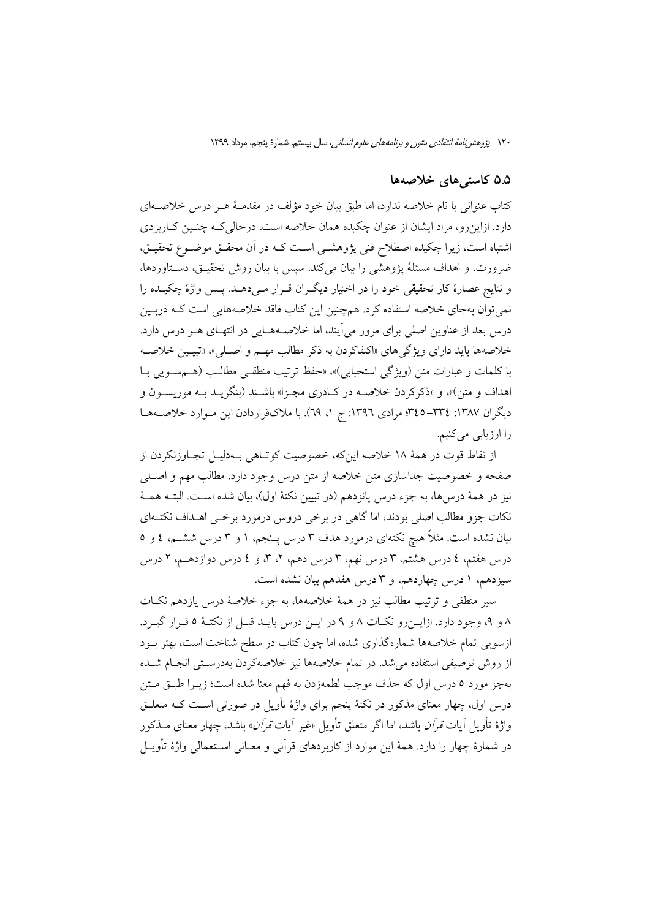#### ۵.۵ کاستی های خلاصهها

کتاب عنوانی با نام خلاصه ندارد، اما طبق بیان خود مؤلف در مقدمـهٔ هـر درس خلاصـهای دارد. ازاینرو، مراد ایشان از عنوان چکیده همان خلاصه است، درحالی کـه چنـین کـاربردی اشتباه است، زیرا چکیده اصطلاح فنی پژوهشــی اســت کــه در آن محقــق موضــوع تحقیــق، ضرورت، و اهداف مسئلهٔ یژوهشی را بیان می کند. سیس با بیان روش تحقیـق، دسـتاوردها، و نتايج عصارهٔ كار تحقيقي خود را در اختيار ديگران قـرار مـيدهـد. پـس واژهٔ چكيـده را نمی توان بهجای خلاصه استفاده کرد. همچنین این کتاب فاقد خلاصههایی است کـه دربـین درس بعد از عناوین اصلی برای مرور می آیند، اما خلاصـههـایی در انتهـای هــر درس دارد. خلاصهها بايد داراي ويژگيهاي «اكتفاكردن به ذكر مطالب مهـم و اصـلي»، «تبيـين خلاصـه با كلمات و عبارات متن (ويژگى استحبابى)»، «حفظ ترتيب منطقـى مطالـب (هـمسـويى بـا اهداف و متن)»، و «ذکرکردن خلاصــه در کــادری مجــزا» باشــند (بنگریــد بــه موریســون و دیگران ۱۳۸۷: ۳۲٤هـ ۴٤٥؟ مرادی ۱۳۹٦: ج ۱، ٦٩). با ملاکقراردادن این مـوارد خلاصــههـا را ارزياب*ي مي ک*نيم.

از نقاط قوت در همهٔ ۱۸ خلاصه اینکه، خصوصیت کوتاهی بـهدلیــل تجــاوزنکردن از صفحه و خصوصیت جداسازی متن خلاصه از متن درس وجود دارد. مطالب مهم و اصـلـی نيز در همهٔ درس۵ما، به جزء درس يانزدهم (در تبيين نكتهٔ اول)، بيان شده اسـت. البتــه همــهٔ نکات جزو مطالب اصلی بودند، اما گاهی در برخی دروس درمورد برخـی اهـداف نکتـهای بیان نشده است. مثلاً هیچ نکتهای درمورد هدف ۳ درس پـنجم، ۱ و ۳ درس ششــم، ٤ و ٥ درس هفتم، ٤ درس هشتم، ٣ درس نهم، ٣ درس دهم، ٢، ٣، و ٤ درس دوازدهــم، ٢ درس سیزدهم، ۱ درس چهاردهم، و ۳ درس هفدهم بیان نشده است.

سیر منطقی و ترتیب مطالب نیز در همهٔ خلاصهها، به جزء خلاصهٔ درس یازدهم نکـات ٨ و ٩، وجود دارد. ازايـن رو نكـات ٨ و ٩ در ايـن درس بايـد قبـل از نكتـهٔ ٥ قـرار گيـرد. ازسویی تمام خلاصهها شمارهگذاری شده، اما چون کتاب در سطح شناخت است، بهتر بـود از روش توصیفی استفاده می شد. در تمام خلاصهها نیز خلاصهکردن بهدرستی انجـام شــده بهجز مورد ٥ درس اول كه حذف موجب لطمهزدن به فهم معنا شده است؛ زيــرا طبــق مــتن درس اول، چهار معنای مذکور در نکتهٔ پنجم برای واژهٔ تأویل در صورتی اسـت کـه متعلــق واژهٔ تأویل آبات *قرآن* باشد، اما اگر متعلق تأویل «غیر آبات *قرآن*» باشد، چهار معنای مــذکور در شمارهٔ چهار را دارد. همهٔ این موارد از کاربردهای قرآنی و معــانی اســتعمالی واژهٔ تأویــل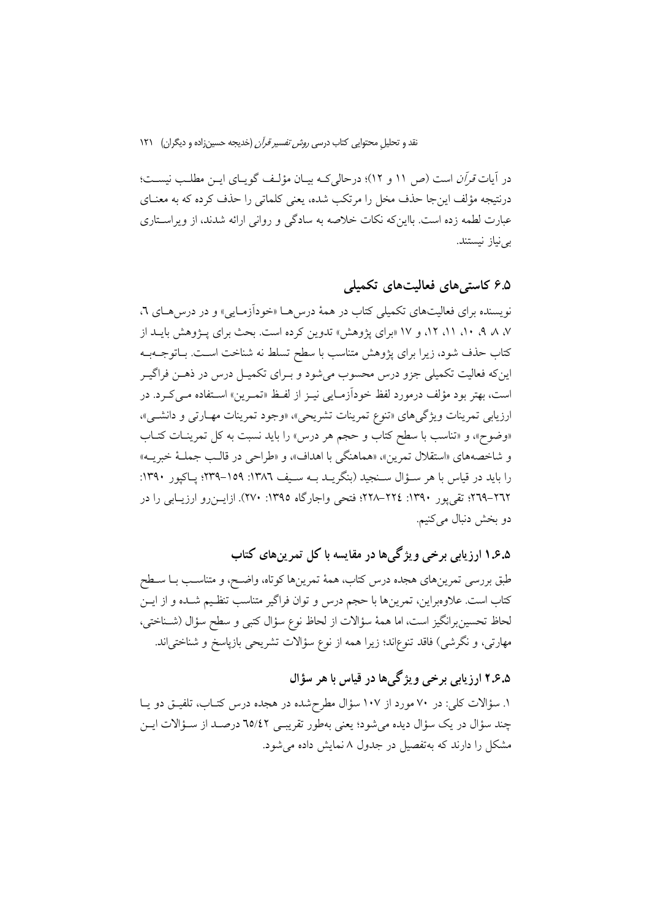در آیات قرآن است (ص ١١ و ١٢)؛ درحالی کـه بیـان مؤلـف گویـای ایـن مطلـب نیسـت؛ درنتیجه مؤلف اینجا حذف مخل را مرتکب شده، یعنی کلماتی را حذف کرده که به معنــای عبارت لطمه زده است. بااینکه نکات خلاصه به سادگی و روانی ارائه شدند، از ویراسـتاری بے نیاز نیستند.

### 9.۵ كاستى هاى فعاليت هاى تكميلى

نویسنده برای فعالیتهای تکمیلی کتاب در همهٔ درس هـا «خودآزمـایی» و در درس هـای ٦، ۰۷ A ، ۸ ، ۱۱، ۱۲، و ۱۷ «برای یژوهش» تدوین کرده است. بحث برای پـژوهش بایــد از كتاب حذف شود، زيرا براي يژوهش متناسب با سطح تسلط نه شناخت است. بـاتوجــهبـه اینکه فعالیت تکمیلی جزو درس محسوب میشود و بـرای تکمیـل درس در ذهـن فراگیـر است، بهتر بود مؤلف درمورد لفظ خودآزمـايي نيـز از لفـظ «تمـرين» اسـتفاده مـي كـرد. در ارزيابي تمرينات ويژگيهاي «تنوع تمرينات تشريحي»، «وجود تمرينات مهـارتي و دانشـي»، «وضوح»، و «تناسب با سطح كتاب و حجم هر درس» را بايد نسبت به كل تمرينـات كتـاب و شاخصههاي «استقلال تمرين»، «هماهنگي با اهداف»، و «طراحي در قالب جملـهٔ خبريــه» را باید در قیاس با هر سـؤال سـنجید (بنگریــد بــه ســیف ١٣٨٦: ١٥٩–٢٣٩؛ پــاکپور ١٣٩٠: ٢٦٢–٢٦٩؛ تقي يور ٢٣٩٠: ٢٢٤–٢٢٨؛ فتحي واجارِكاه ١٣٩٥: ٢٧٠). ازايــزرو ارزيــابي را در دو بخش دنبال مي کنيم.

۰.۵٪ ۱ ارزیابی برخی ویژگیها در مقایسه با کل تمرینهای کتاب

طبق بررسی تمرینهای هجده درس کتاب، همهٔ تمرینها کوتاه، واضـح، و متناسـب بــا ســطح کتاب است. علاوهبراین، تمرینها با حجم درس و توان فراگیر متناسب تنظیم شـده و از ایــن لحاظ تحسين برانگيز است، اما همهٔ سؤالات از لحاظ نوع سؤال كتبي و سطح سؤال (شـناختي، مهارتی، و نگرشی) فاقد تنوع|ند؛ زیرا همه از نوع سؤالات تشریحی بازپاسخ و شناختی|ند.

۵.۱۲.۶ ارزیابی برخی ویژگے ها در قیاس با هر سؤال

۱. سؤالات کلی: در ۷۰ مورد از ۱۰۷ سؤال مطرحشده در هجده درس کتــاب، تلفیــق دو یــا چند سؤال در یک سؤال دیده میشود؛ یعنی بهطور تقریبی ٦٥/٤٢ درصـد از سـؤالات ایـن مشکل را دارند که بهتفصیل در جدول ۸ نمایش داده می شود.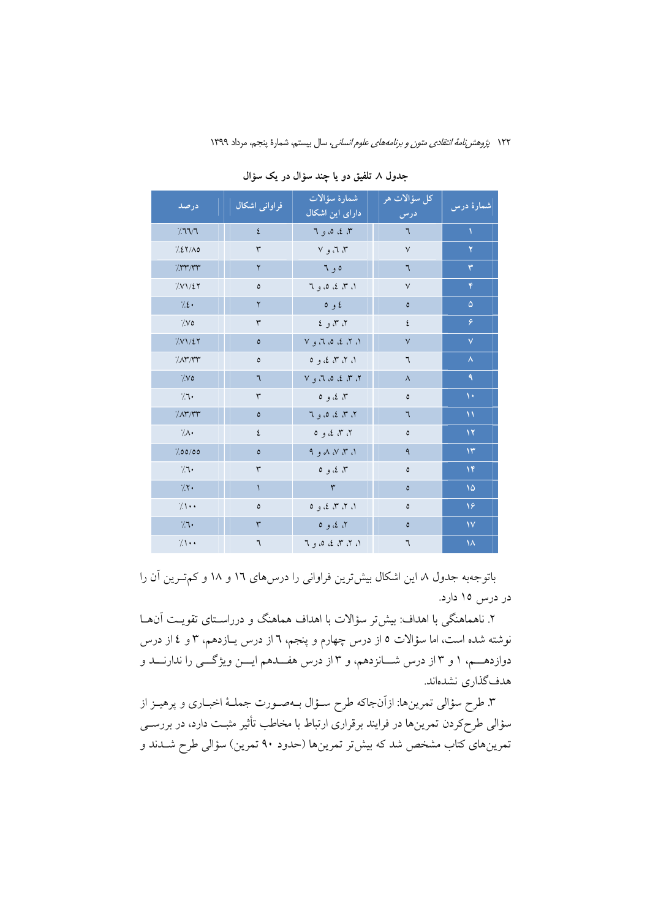| درصد                   | فراوانی اشکال | _ شمارهٔ سؤآ <mark>لات</mark><br><mark>دارای این اشکال</mark> | كل سؤالات هر<br>درس   | شمارهٔ درس    |
|------------------------|---------------|---------------------------------------------------------------|-----------------------|---------------|
| 7777                   | ٤             | ۳، ٤، ٥، و ٦                                                  | ٦                     | A.            |
| 7.27/A0                | ٣             | ۳، ۳، و ۷                                                     | $\sqrt{}$             | ۲             |
| 7.147.144              | ٢             | ه و ٦                                                         | ٦                     | ٣             |
| 7. V1 / 27             | $\pmb{\circ}$ | ۱، ۳، ٤، ٥، و ٦                                               | $\vee$                | ۴             |
| $7.2 \cdot$            | $\mathsf{r}$  | ٤ و ٥                                                         | $\pmb{\circ}$         | $\Delta$      |
| $\gamma_{\rm V}$       | $\mathsf{r}$  | ۲، ۳، و ٤                                                     | ٤                     | ۶             |
| 7.51/27                | $\pmb{\circ}$ | ۰، ۲، ٤، ۵، ۳، و ۷                                            | $\sqrt{}$             | Ÿ             |
| 7.07/TT                | $\pmb{\circ}$ | ۱، ۲، ۳، ۲، و ۵                                               | ٦                     | $\lambda$     |
| $\gamma_{\mathcal{N}}$ | ٦             | ۲، ۳، ٤، ۵، ۳، و ۷                                            | $\boldsymbol{\wedge}$ | ٩             |
| 7.1                    | ٣             | ۳، ٤، و ٥                                                     | $\pmb{\circ}$         | $\mathcal{N}$ |
| 7.07/TT                | $\pmb{\circ}$ | ۲، ۳، ٤، ٥، و ٦                                               | ٦                     | $\mathcal{N}$ |
| 7/1                    | ٤             | ۲، ۳، ۲، و ۵                                                  | $\pmb{\circ}$         | $\mathbf{Y}$  |
| 7.00/00                | $\pmb{\circ}$ | A, B, W, T, A                                                 | ٩                     | $\mathcal{N}$ |
| 7.1                    | ٣             | ۳، ٤، و ٥                                                     | ٥                     | $\mathcal{N}$ |
| 7.7.                   | ١             | ٣                                                             | $\pmb{\circ}$         | $\sqrt{2}$    |
| $7.1$ .                | $\pmb{\circ}$ | ۱، ۲، ۳، ۲، و ۵                                               | $\pmb{\circ}$         | ۱۶            |
| 7.1                    | ٣             | ۲، ٤، و ٥                                                     | $\pmb{\circ}$         | $\mathsf{N}$  |
| 7.1                    | ٦             | ۱، ۲، ۳، ۵، ۵، و ٦                                            | ٦                     | $\lambda$     |

جدول ٨ تلفيق دو يا چند سؤال در يک سؤال

باتوجهبه جدول ٨ این اشکال بیش ترین فراوانی را درسهای ١٦ و ١٨ و کم تـرین آن را در درس ۱۵ دارد.

۲. ناهماهنگی با اهداف: بیش تر سؤالات با اهداف هماهنگ و درراسـتای تقویـت آن۵ــا نوشته شده است، اما سؤالات ٥ از درس چهارم و پنجم، ٦ از درس پــازدهم، ٣ و ٤ از درس دوازدهــم، ۱ و ۳از درس شــانزدهم، و ۳از درس هفــدهم ايـــن ويژگـــي را ندارنـــد و هدف گذاری نشدهاند.

۳. طرح سؤالي تمرينها: ازآنجاكه طرح سـؤال بـهصـورت جملـهٔ اخبـاري و پرهيـز از سؤالی طرحکردن تمرینها در فرایند برقراری ارتباط با مخاطب تأثیر مثبـت دارد، در بررســی تمرینهای کتاب مشخص شد که بیش تر تمرینها (حدود ۹۰ تمرین) سؤالی طرح شــدند و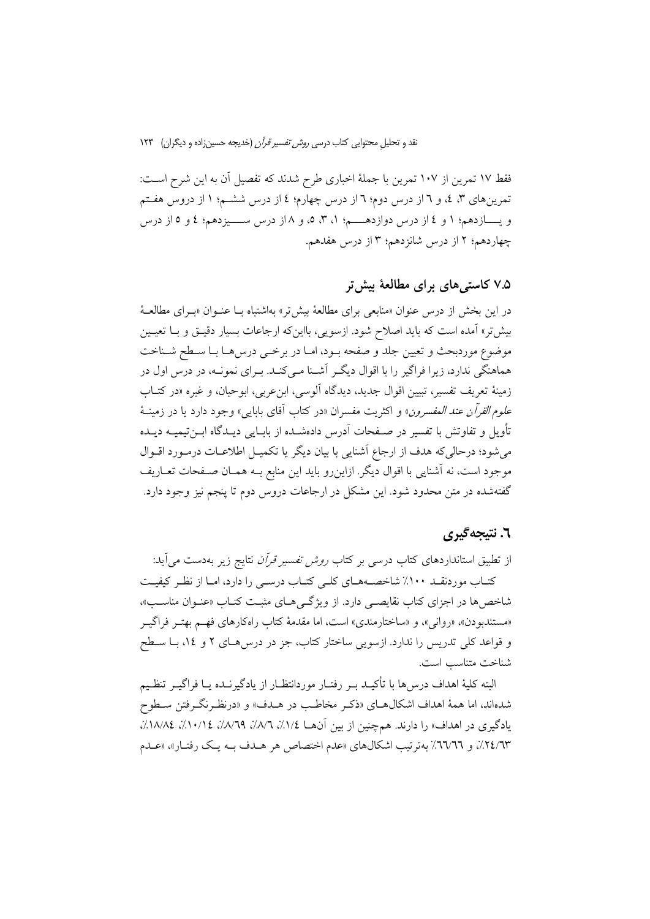فقط ١٧ تمرين از ١٠٧ تمرين با جملة اخباري طرح شدند كه تفصيل آن به اين شرح اسـت: تمرینهای ۳، ٤، و ٦ از درس دوم؛ ٦ از درس چهارم؛ ٤ از درس ششـم؛ ١ از دروس هفـتم و يـــــازدهم؛ ١ و ٤ از درس دوازدهـــــم؛ ١، ٣، ٥، و ٨ از درس ســــيزدهم؛ ٤ و ٥ از درس چهاردهم؛ ۲ از درس شانزدهم؛ ۳ از درس هفدهم.

### ۷.۵ کاستی های برای مطالعهٔ بیش تر

در این بخش از درس عنوان «منابعی برای مطالعهٔ بیشتر، بهاشتباه بـا عنـوان «بـرای مطالعـهٔ بیش تر» آمده است که باید اصلاح شود. ازسویی، بااینکه ارجاعات بسیار دقیـق و بــا تعیـین موضوع موردبحث و تعیین جلد و صفحه بـود، امـا در برخــی درس۵حـا بـا سـطح شـناخت هماهنگی ندارد، زیرا فراگیر را با اقوال دیگـر آشـنا مـی کنـد. بـرای نمونـه، در درس اول در زمینهٔ تعریف تفسیر، تبیین اقوال جدید، دیدگاه آلوسی، ابن عربی، ابوحیان، و غیره «در کتـاب عل*وم القرآن عند المفسرون» و اكثريت مفسران «در كتاب آقاي بابايي» وجود دارد يا در زمينــهٔ* تأويل و تفاوتش با تفسير در صـفحات آدرس دادهشـده از بابــايي ديــدگاه ابــن تيميــه ديــده می شود؛ درحالی که هدف از ارجاع آشنایی با بیان دیگر یا تکمیـل اطلاعـات درمـورد اقـوال موجود است، نه آشنایی با اقوال دیگر. ازاین٫رو باید این منابع بــه همــان صــفحات تعــاریف گفتهشده در متن محدود شود. این مشکل در ارجاعات دروس دوم تا پنجم نیز وجود دارد.

#### ٦. نتيجەگىرى

از تطبیق استانداردهای کتاب درسی بر کتاب *روش تفسیر قرآن* نتایج زیر بهدست می آید: کتـاب موردنقــد ۱۰۰٪ شاخصــههــاي کلــي کتــاب درســي را دارد، امــا از نظـر کيفيــت شاخصها در اجزای کتاب نقایصبی دارد. از ویژگیهای مثبت کتـاب «عنـوان مناسـب»، «مستندبودن»، «رواني»، و «ساختارمندي» است، اما مقدمهٔ كتاب راهكارهاي فهم بهتـر فراگيـر و قواعد کلی تدریس را ندارد. ازسویی ساختار کتاب، جز در درسهای ۲ و ۱٤، بـا سـطح شناخت متناسب است.

البته كليهٔ اهداف درس۵ا با تأكيــد بــر رفتــار موردانتظــار از يادگيرنــده يــا فراگيــر تنظـيم شدهاند، اما همهٔ اهداف اشکالهــای «ذکـر مخاطـب در هــدف» و «درنظـرنگــرفتن ســطوح یادگیری در اهداف» را دارند. همچنین از بین آنها ۱/۵٪، ۱/۸٪، ۹/۸٪، ۱۰/۱؛ ۱/۸٪، ۱۸/۸٪، ٢٤/٦٣٪، و ٦٦٦٦٪ بهترتيب اشكالهاي «عدم اختصاص هر هـدف بــه يـك رفتــار»، «عــدم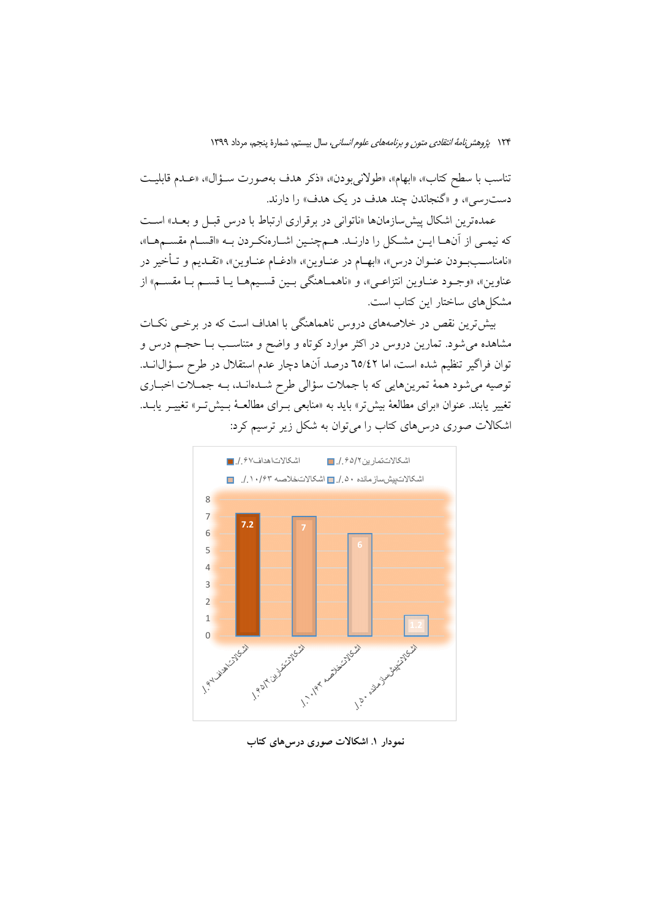تناسب با سطح كتاب»، «ابهام»، «طولاني بودن»، «ذكر هدف بهصورت سـؤال»، «عـدم قابليـت دست سي»، و «گنجاندن چند هدف در يک هدف» را دارند.

عمدهترين اشكال پيش سازمانها «ناتواني در برقراري ارتباط با درس قبـل و بعــد» اسـت كه نيمـى از آنهـا ايـن مشـكل را دارنـد. هـمچنـين اشـارهنكـردن بـه «اقسـام مقسـمهـا»، «نامناسـببـودن عنـوان درس» «ابهــام در عنــاوين»، «ادغــام عنــاوين»، «تقــديم و تــأخير در عناوین»، «وجـود عنــاوین انتزاعــي»، و «ناهمــاهنگي بــین قســیمهــا یــا قســم بــا مقســم» از مشکل های ساختار این کتاب است.

بیشترین نقص در خلاصههای دروس ناهماهنگی با اهداف است که در برخــی نکــات مشاهده می شود. تمارین دروس در اکثر موارد کوتاه و واضح و متناسب بــا حجــم درس و توان فراگیر تنظیم شده است، اما ٦٥/٤٢ درصد آنها دچار عدم استقلال در طرح سـؤال|نــد. توصیه میشود همهٔ تمرینهایی که با جملات سؤالی طرح شـدهانـد، بـه جمـلات اخبـاری تغییر پابند. عنوان «برای مطالعهٔ بیش تر» باید به «منابعی بـرای مطالعـهٔ بـیش تـر» تغییـر پابـد. اشکالات صوری درسهای کتاب را میتوان به شکل زیر ترسیم کرد:



نمودار ۱. اشکالات صوری درسهای کتاب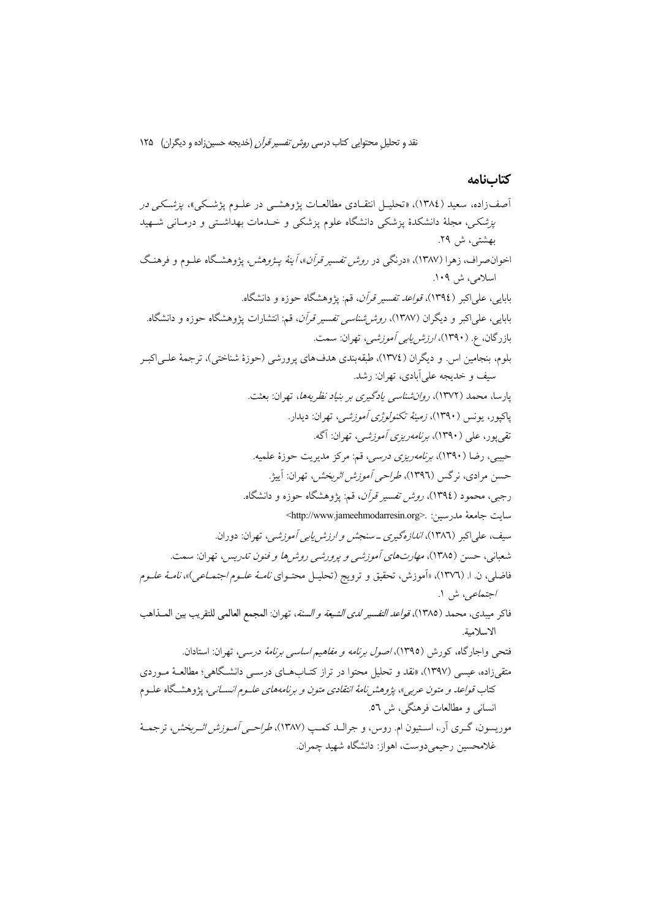## كتابنامه